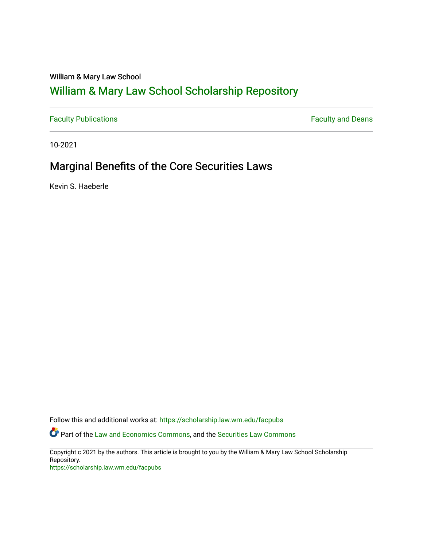# William & Mary Law School

# [William & Mary Law School Scholarship Repository](https://scholarship.law.wm.edu/)

[Faculty Publications](https://scholarship.law.wm.edu/facpubs) **Faculty Publications** 

10-2021

# Marginal Benefits of the Core Securities Laws

Kevin S. Haeberle

Follow this and additional works at: [https://scholarship.law.wm.edu/facpubs](https://scholarship.law.wm.edu/facpubs?utm_source=scholarship.law.wm.edu%2Ffacpubs%2F2061&utm_medium=PDF&utm_campaign=PDFCoverPages)

**C** Part of the [Law and Economics Commons](http://network.bepress.com/hgg/discipline/612?utm_source=scholarship.law.wm.edu%2Ffacpubs%2F2061&utm_medium=PDF&utm_campaign=PDFCoverPages), and the [Securities Law Commons](http://network.bepress.com/hgg/discipline/619?utm_source=scholarship.law.wm.edu%2Ffacpubs%2F2061&utm_medium=PDF&utm_campaign=PDFCoverPages)

Copyright c 2021 by the authors. This article is brought to you by the William & Mary Law School Scholarship Repository.

<https://scholarship.law.wm.edu/facpubs>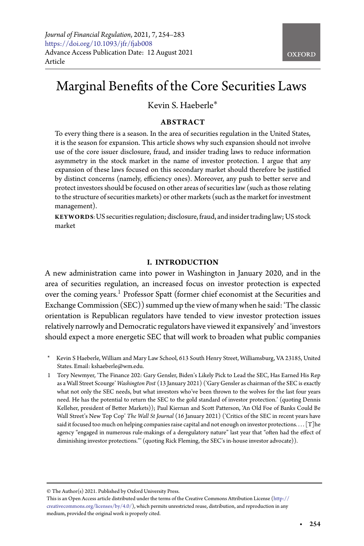# Marginal Benefits of the Core Securities Laws

# Kevin S. Haeberle∗

## **ABSTRACT**

To every thing there is a season. In the area of securities regulation in the United States, it is the season for expansion. This article shows why such expansion should not involve use of the core issuer disclosure, fraud, and insider trading laws to reduce information asymmetry in the stock market in the name of investor protection. I argue that any expansion of these laws focused on this secondary market should therefore be justified by distinct concerns (namely, efficiency ones). Moreover, any push to better serve and protect investors should be focused on other areas of securities law (such as those relating to the structure of securities markets) or other markets (such as the market for investment management).

**KEYWORDS**:US securities regulation; disclosure, fraud, and insidertrading law; US stock market

### **I. INTRODUCTION**

A new administration came into power in Washington in January 2020, and in the area of securities regulation, an increased focus on investor protection is expected over the coming years.<sup>[1](#page-1-0)</sup> Professor Spatt (former chief economist at the Securities and Exchange Commission (SEC)) summed upthe view of many when he said: 'The classic orientation is Republican regulators have tended to view investor protection issues relatively narrowly and Democratic regulators have viewed it expansively' and 'investors should expect a more energetic SEC that will work to broaden what public companies

- Kevin S Haeberle, William and Mary Law School, 613 South Henry Street, Williamsburg, VA 23185, United States. Email: kshaeberle@wm.edu.
- <span id="page-1-0"></span>1 Tory Newmyer, 'The Finance 202: Gary Gensler, Biden's Likely Pick to Lead the SEC, Has Earned His Rep as a Wall Street Scourge' *Washington Post* (13 January 2021) ('Gary Gensler as chairman of the SEC is exactly what not only the SEC needs, but what investors who've been thrown to the wolves for the last four years need. He has the potential to return the SEC to the gold standard of investor protection.' (quoting Dennis Kelleher, president of Better Markets)); Paul Kiernan and Scott Patterson, 'An Old Foe of Banks Could Be Wall Street's New Top Cop' *The Wall St Journal* (16 January 2021) ('Critics of the SEC in recent years have said it focused too much on helping companies raise capital and not enough on investor protections. . . . [T]he agency "engaged in numerous rule-makings of a deregulatory nature" last year that "often had the effect of diminishing investor protections."' (quoting Rick Fleming, the SEC's in-house investor advocate)).

© The Author(s) 2021. Published by Oxford University Press.

This is an Open Access article distributed under the terms of the Creative Commons Attribution License [\(http://](http://creativecommons.org/licenses/by/4.0/) [creativecommons.org/licenses/by/4.0/\)](http://creativecommons.org/licenses/by/4.0/), which permits unrestricted reuse, distribution, and reproduction in any medium, provided the original work is properly cited.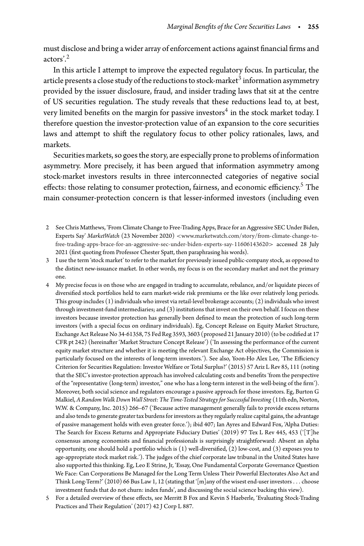must disclose and bring a wider array of enforcement actions against financial firms and actors' $^2$  $^2$ 

In this article I attempt to improve the expected regulatory focus. In particular, the article presents a close study of the reductions to stock-market $3$  information asymmetry provided by the issuer disclosure, fraud, and insider trading laws that sit at the centre of US securities regulation. The study reveals that these reductions lead to, at best, very limited benefits on the margin for passive investors<sup>4</sup> in the stock market today. I therefore question the investor-protection value of an expansion to the core securities laws and attempt to shift the regulatory focus to other policy rationales, laws, and markets.

Securities markets, so goes the story, are especially prone to problems of information asymmetry. More precisely, it has been argued that information asymmetry among stock-market investors results in three interconnected categories of negative social effects: those relating to consumer protection, fairness, and economic efficiency.<sup>[5](#page-2-3)</sup> The main consumer-protection concern is that lesser-informed investors (including even

- <span id="page-2-0"></span>2 See Chris Matthews, 'From Climate Change to Free-Trading Apps, Brace for an Aggressive SEC Under Biden, Experts Say' *MarketWatch* (23 November 2020) *<*[www.marketwatch.com/story/from-climate-change-to](www.marketwatch.com/story/from-climate-change-to-free-trading-apps-brace-for-an-aggressive-sec-under-biden-experts-say-11606143620)[free-trading-apps-brace-for-an-aggressive-sec-under-biden-experts-say-11606143620](www.marketwatch.com/story/from-climate-change-to-free-trading-apps-brace-for-an-aggressive-sec-under-biden-experts-say-11606143620)*>* accessed 28 July 2021 (first quoting from Professor Chester Spatt, then paraphrasing his words).
- <span id="page-2-1"></span>3 I use the term 'stock market' to refer to the market for previously issued public-company stock, as opposed to the distinct new-issuance market. In other words, my focus is on the secondary market and not the primary one.
- <span id="page-2-2"></span>4 My precise focus is on those who are engaged in trading to accumulate, rebalance, and/or liquidate pieces of diversified stock portfolios held to earn market-wide risk premiums or the like over relatively long periods. This group includes (1) individuals who invest via retail-level brokerage accounts; (2) individuals who invest through investment-fund intermediaries; and (3) institutions that invest on their own behalf. I focus on these investors because investor protection has generally been defined to mean the protection of such long-term investors (with a special focus on ordinary individuals). Eg, Concept Release on Equity Market Structure, Exchange Act Release No 34-61358, 75 Fed Reg 3593, 3603 (proposed 21 January 2010) (to be codified at 17 CFR pt 242) (hereinafter 'Market Structure Concept Release') ('In assessing the performance of the current equity market structure and whether it is meeting the relevant Exchange Act objectives, the Commission is particularly focused on the interests of long-term investors.'). See also, Yoon-Ho Alex Lee, 'The Efficiency Criterion for Securities Regulation: Investor Welfare or Total Surplus?' (2015) 57 Ariz L Rev 85, 111 (noting that the SEC's investor-protection approach has involved calculating costs and benefits 'from the perspective of the "representative (long-term) investor," one who has a long-term interest in the well-being of the firm'). Moreover, both social science and regulators encourage a passive approach for those investors. Eg, Burton G Malkiel, *A Random Walk Down Wall Street: The Time-Tested Strategy for Successful Investing* (11th edn, Norton, W.W. & Company, Inc. 2015) 266–67 ('Because active management generally fails to provide excess returns and also tends to generate greater tax burdens for investors as they regularly realize capital gains, the advantage of passive management holds with even greater force.'); ibid 407; Ian Ayres and Edward Fox, 'Alpha Duties: The Search for Excess Returns and Appropriate Fiduciary Duties' (2019) 97 Tex L Rev 445, 453 ('[T]he consensus among economists and financial professionals is surprisingly straightforward: Absent an alpha opportunity, one should hold a portfolio which is (1) well-diversified, (2) low-cost, and (3) exposes you to age-appropriate stock market risk.'). The judges of the chief corporate law tribunal in the United States have also supported this thinking. Eg, Leo E Strine, Jr, 'Essay, One Fundamental Corporate Governance Question We Face: Can Corporations Be Managed for the Long Term Unless Their Powerful Electorates Also Act and Think Long-Term?' (2010) 66 Bus Law 1, 12 (stating that '[m]any of the wisest end-user investors*...* choose investment funds that do not churn: index funds', and discussing the social science backing this view).
- <span id="page-2-3"></span>5 For a detailed overview of these effects, see Merritt B Fox and Kevin S Haeberle, 'Evaluating Stock-Trading Practices and Their Regulation' (2017) 42 J Corp L 887.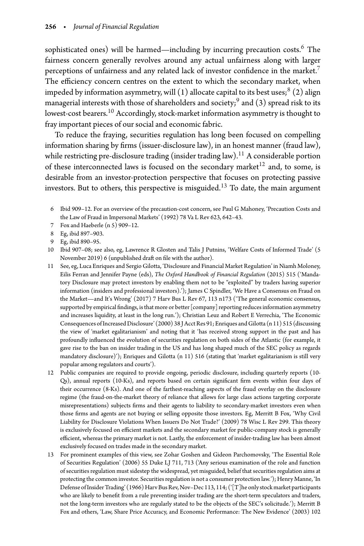sophisticated ones) will be harmed—including by incurring precaution costs.<sup>[6](#page-3-0)</sup> The fairness concern generally revolves around any actual unfairness along with larger perceptions of unfairness and any related lack of investor confidence in the market.<sup>7</sup> The efficiency concern centres on the extent to which the secondary market, when impeded by information asymmetry, will  $(1)$  allocate capital to its best uses;<sup>8</sup>  $(2)$  align managerial interests with those of shareholders and society;<sup>9</sup> and (3) spread risk to its lowest-cost bearers.<sup>10</sup> Accordingly, stock-market information asymmetry is thought to fray important pieces of our social and economic fabric.

To reduce the fraying, securities regulation has long been focused on compelling information sharing by firms (issuer-disclosure law), in an honest manner (fraud law), while restricting pre-disclosure trading (insider trading law).<sup>[11](#page-3-5)</sup> A considerable portion of these interconnected laws is focused on the secondary market<sup>[12](#page-3-6)</sup> and, to some, is desirable from an investor-protection perspective that focuses on protecting passive investors. But to others, this perspective is misguided.<sup>[13](#page-3-7)</sup> To date, the main argument

- <span id="page-3-0"></span>6 Ibid 909–12. For an overview of the precaution-cost concern, see Paul G Mahoney, 'Precaution Costs and the Law of Fraud in Impersonal Markets' (1992) 78 Va L Rev 623, 642–43.
- 7 Fox and Haeberle (n 5) 909–12.
- <span id="page-3-1"></span>8 Eg, ibid 897–903.
- <span id="page-3-2"></span>9 Eg, ibid 890–95.
- <span id="page-3-4"></span><span id="page-3-3"></span>10 Ibid 907–08; see also, eg, Lawrence R Glosten and Talis J Putnins, 'Welfare Costs of Informed Trade' (5 November 2019) 6 (unpublished draft on file with the author).
- <span id="page-3-5"></span>11 See, eg, Luca Enriques and Sergio Gilotta, 'Disclosure and Financial Market Regulation' in Niamh Moloney, Eilis Ferran and Jennifer Payne (eds), *The Oxford Handbook of Financial Regulation* (2015) 515 ('Mandatory Disclosure may protect investors by enabling them not to be "exploited" by traders having superior information (insiders and professional investors).'); James C Spindler, 'We Have a Consensus on Fraud on the Market—and It's Wrong' (2017) 7 Harv Bus L Rev 67, 113 n173 ('The general economic consensus, supported by empirical findings, is that more or better  $[company]$  reporting reduces information asymmetry and increases liquidity, at least in the long run.'); Christian Leuz and Robert E Verrechia, 'The Economic Consequences of Increased Disclosure' (2000) 38 J Acct Res 91; Enriques and Gilotta (n 11) 515 (discussing the view of 'market egalitarianism' and noting that it 'has received strong support in the past and has profoundly influenced the evolution of securities regulation on both sides of the Atlantic (for example, it gave rise to the ban on insider trading in the US and has long shaped much of the SEC policy as regards mandatory disclosure)'); Enriques and Gilotta (n 11) 516 (stating that 'market egalitarianism is still very popular among regulators and courts').
- <span id="page-3-6"></span>12 Public companies are required to provide ongoing, periodic disclosure, including quarterly reports (10- Qs), annual reports (10-Ks), and reports based on certain significant firm events within four days of their occurrence (8-Ks). And one of the farthest-reaching aspects of the fraud overlay on the disclosure regime (the fraud-on-the-market theory of reliance that allows for large class actions targeting corporate misrepresentations) subjects firms and their agents to liability to secondary-market investors even when those firms and agents are not buying or selling opposite those investors. Eg, Merritt B Fox, 'Why Civil Liability for Disclosure Violations When Issuers Do Not Trade?' (2009) 78 Wisc L Rev 299. This theory is exclusively focused on efficient markets and the secondary market for public-company stock is generally efficient, whereas the primary market is not. Lastly, the enforcement of insider-trading law has been almost exclusively focused on trades made in the secondary market.
- <span id="page-3-7"></span>13 For prominent examples of this view, see Zohar Goshen and Gideon Parchomovsky, 'The Essential Role of Securities Regulation' (2006) 55 Duke LJ 711, 713 ('Any serious examination of the role and function of securities regulation must sidestep the widespread, yet misguided, belief that securities regulation aims at protecting the common investor. Securities regulation is not a consumer protection law.'); Henry Manne, 'In Defense of Insider Trading' (1966) Harv Bus Rev, Nov–Dec 113, 114; ('[T]he only stock market participants who are likely to benefit from a rule preventing insider trading are the short-term speculators and traders, not the long-term investors who are regularly stated to be the objects of the SEC's solicitude.'); Merritt B Fox and others, 'Law, Share Price Accuracy, and Economic Performance: The New Evidence' (2003) 102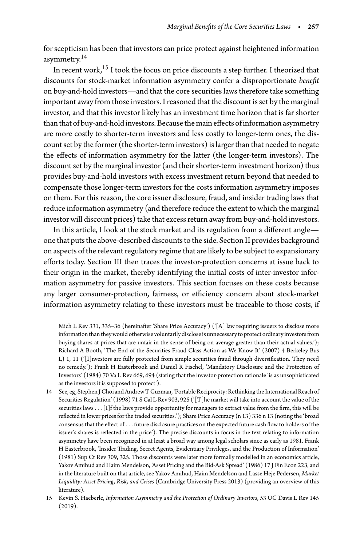for scepticism has been that investors can price protect against heightened information asymmetry. $^{14}$  $^{14}$  $^{14}$ 

In recent work,[15](#page-4-1) I took the focus on price discounts a step further. I theorized that discounts for stock-market information asymmetry confer a disproportionate *benefit* on buy-and-hold investors—and that the core securities laws therefore take something important away from those investors. I reasoned that the discount is set by the marginal investor, and that this investor likely has an investment time horizon that is far shorter than that of buy-and-hold investors. Because the main effects of information asymmetry are more costly to shorter-term investors and less costly to longer-term ones, the discount set by the former (the shorter-term investors) is larger than that needed to negate the effects of information asymmetry for the latter (the longer-term investors). The discount set by the marginal investor (and their shorter-term investment horizon) thus provides buy-and-hold investors with excess investment return beyond that needed to compensate those longer-term investors for the costs information asymmetry imposes on them. For this reason, the core issuer disclosure, fraud, and insider trading laws that reduce information asymmetry (and therefore reduce the extent to which the marginal investor will discount prices) take that excess return away from buy-and-hold investors.

In this article, I look at the stock market and its regulation from a different angle one that puts the above-described discounts to the side. Section II provides background on aspects of the relevant regulatory regime that are likely to be subject to expansionary efforts today. Section III then traces the investor-protection concerns at issue back to their origin in the market, thereby identifying the initial costs of inter-investor information asymmetry for passive investors. This section focuses on these costs because any larger consumer-protection, fairness, or efficiency concern about stock-market information asymmetry relating to these investors must be traceable to those costs, if

Mich L Rev 331, 335–36 (hereinafter 'Share Price Accuracy') ('[A] law requiring issuers to disclose more informationthanthey would otherwise voluntarily disclose is unnecessaryto protect ordinary investors from buying shares at prices that are unfair in the sense of being on average greater than their actual values.'); Richard A Booth, 'The End of the Securities Fraud Class Action as We Know It' (2007) 4 Berkeley Bus LJ 1, 11 ('[I]nvestors are fully protected from simple securities fraud through diversification. They need no remedy.'); Frank H Easterbrook and Daniel R Fischel, 'Mandatory Disclosure and the Protection of Investors' (1984) 70 Va L Rev 669, 694 (stating that the investor-protection rationale 'is as unsophisticated as the investors it is supposed to protect').

- <span id="page-4-0"></span>14 See, eg, Stephen JChoi and Andrew T Guzman, 'Portable Reciprocity: Rethinkingthe International Reach of Securities Regulation' (1998) 71 S Cal L Rev 903, 925 ('[T]he market will take into account the value of the securities laws*...*[I]f the laws provide opportunity for managers to extract value from the firm, this will be reflected in lower prices for the traded securities.'); Share Price Accuracy (n 13) 336 n 13 (noting the 'broad consensus that the effect of *...* future disclosure practices on the expected future cash flow to holders of the issuer's shares is reflected in the price'). The precise discounts in focus in the text relating to information asymmetry have been recognized in at least a broad way among legal scholars since as early as 1981. Frank H Easterbrook, 'Insider Trading, Secret Agents, Evidentiary Privileges, and the Production of Information' (1981) Sup Ct Rev 309, 325. Those discounts were later more formally modelled in an economics article, Yakov Amihud and Haim Mendelson, 'Asset Pricing and the Bid-Ask Spread' (1986) 17 J Fin Econ 223, and in the literature built on that article, see Yakov Amihud, Haim Mendelson and Lasse Heje Pedersen, *Market Liquidity: Asset Pricing, Risk, and Crises* (Cambridge University Press 2013) (providing an overview of this literature).
- <span id="page-4-1"></span>15 Kevin S. Haeberle, *Information Asymmetry and the Protection of Ordinary Investors*, 53 UC Davis L Rev 145 (2019).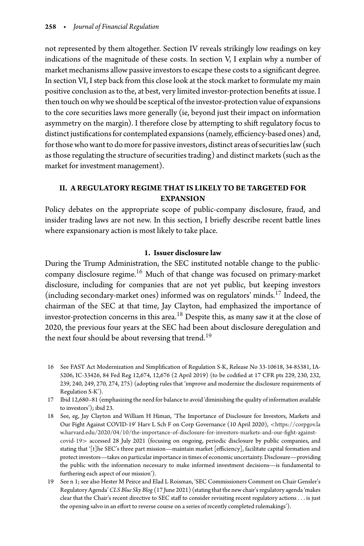not represented by them altogether. Section IV reveals strikingly low readings on key indications of the magnitude of these costs. In section V, I explain why a number of market mechanisms allow passive investors to escape these costs to a significant degree. In section VI, I step back from this close look at the stock market to formulate my main positive conclusion as to the, at best, very limited investor-protection benefits at issue. I then touch on why we should be sceptical of the investor-protection value of expansions to the core securities laws more generally (ie, beyond just their impact on information asymmetry on the margin). I therefore close by attempting to shift regulatory focus to distinct justifications for contemplated expansions (namely, efficiency-based ones) and, for those who want to do more for passive investors, distinct areas of securities law (such as those regulating the structure of securities trading) and distinct markets (such as the market for investment management).

## **II. A REGULATORY REGIME THAT IS LIKELY TO BE TARGETED FOR EXPANSION**

Policy debates on the appropriate scope of public-company disclosure, fraud, and insider trading laws are not new. In this section, I briefly describe recent battle lines where expansionary action is most likely to take place.

## **1. Issuer disclosure law**

During the Trump Administration, the SEC instituted notable change to the publiccompany disclosure regime.[16](#page-5-0) Much of that change was focused on primary-market disclosure, including for companies that are not yet public, but keeping investors (including secondary-market ones) informed was on regulators' minds.[17](#page-5-1) Indeed, the chairman of the SEC at that time, Jay Clayton, had emphasized the importance of investor-protection concerns in this area.<sup>[18](#page-5-2)</sup> Despite this, as many saw it at the close of 2020, the previous four years at the SEC had been about disclosure deregulation and the next four should be about reversing that trend.<sup>[19](#page-5-3)</sup>

- <span id="page-5-0"></span>16 See FAST Act Modernization and Simplification of Regulation S-K, Release No 33-10618, 34-85381, IA-5206, IC-33426, 84 Fed Reg 12,674, 12,676 (2 April 2019) (to be codified at 17 CFR pts 229, 230, 232, 239, 240, 249, 270, 274, 275) (adopting rules that 'improve and modernize the disclosure requirements of Regulation S-K').
- <span id="page-5-1"></span>17 Ibid 12,680–81 (emphasizing the need for balance to avoid 'diminishing the quality of information available to investors'); ibid 23.
- <span id="page-5-2"></span>18 See, eg, Jay Clayton and William H Himan, 'The Importance of Disclosure for Investors, Markets and Our Fight Against COVID-19' Harv L Sch F on Corp Governance (10 April 2020), *<*[https://corpgov.la](https://corpgov.law.harvard.edu/2020/04/10/the-importance-of-disclosure-for-investors-markets-and-our-fight-against-covid-19) [w.harvard.edu/2020/04/10/the-importance-of-disclosure-for-investors-markets-and-our-fight-against](https://corpgov.law.harvard.edu/2020/04/10/the-importance-of-disclosure-for-investors-markets-and-our-fight-against-covid-19)[covid-19](https://corpgov.law.harvard.edu/2020/04/10/the-importance-of-disclosure-for-investors-markets-and-our-fight-against-covid-19)*>* accessed 28 July 2021 (focusing on ongoing, periodic disclosure by public companies, and stating that '[t]he SEC's three part mission—maintain market [efficiency], facilitate capital formation and protect investors—takes on particular importance in times of economic uncertainty. Disclosure—providing the public with the information necessary to make informed investment decisions—is fundamental to furthering each aspect of our mission').
- <span id="page-5-3"></span>19 See n 1; see also Hester M Peirce and Elad L Roisman, 'SEC Commissioners Comment on Chair Gensler's Regulatory Agenda'*CLS Blue Sky Blog* (17 June 2021) (stating that the new chair's regulatory agenda 'makes clear that the Chair's recent directive to SEC staff to consider revisiting recent regulatory actions*...* is just the opening salvo in an effort to reverse course on a series of recently completed rulemakings').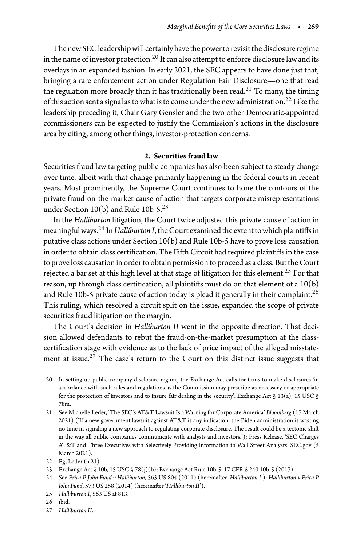The new SEC leadership will certainly have the power to revisit the disclosure regime in the name of investor protection.<sup>[20](#page-6-0)</sup> It can also attempt to enforce disclosure law and its overlays in an expanded fashion. In early 2021, the SEC appears to have done just that, bringing a rare enforcement action under Regulation Fair Disclosure—one that read the regulation more broadly than it has traditionally been read.<sup>[21](#page-6-1)</sup> To many, the timing of this action sent a signal as to what is to come under the new administration.<sup>[22](#page-6-2)</sup> Like the leadership preceding it, Chair Gary Gensler and the two other Democratic-appointed commissioners can be expected to justify the Commission's actions in the disclosure area by citing, among other things, investor-protection concerns.

#### **2. Securities fraud law**

Securities fraud law targeting public companies has also been subject to steady change over time, albeit with that change primarily happening in the federal courts in recent years. Most prominently, the Supreme Court continues to hone the contours of the private fraud-on-the-market cause of action that targets corporate misrepresentations under Section  $10(b)$  and Rule  $10b-5.<sup>23</sup>$ 

In the *Halliburton* litigation, the Court twice adjusted this private cause of action in meaningful ways.<sup>24</sup> In *Halliburton I*, the Court examined the extent to which plaintiffs in putative class actions under Section 10(b) and Rule 10b-5 have to prove loss causation in order to obtain class certification. The Fifth Circuit had required plaintiffs in the case to prove loss causation in order to obtain permission to proceed as a class. But the Court rejected a bar set at this high level at that stage of litigation for this element.<sup>25</sup> For that reason, up through class certification, all plaintiffs must do on that element of a 10(b) and Rule 10b-5 private cause of action today is plead it generally in their complaint.<sup>26</sup> This ruling, which resolved a circuit split on the issue, expanded the scope of private securities fraud litigation on the margin.

The Court's decision in *Halliburton II* went in the opposite direction. That decision allowed defendants to rebut the fraud-on-the-market presumption at the classcertification stage with evidence as to the lack of price impact of the alleged misstatement at issue.<sup>27</sup> The case's return to the Court on this distinct issue suggests that

<span id="page-6-1"></span>21 See Michelle Leder, 'The SEC's AT&T Lawsuit Is a Warning for Corporate America' *Bloomberg* (17 March 2021) ('If a new government lawsuit against AT&T is any indication, the Biden administration is wasting no time in signaling a new approach to regulating corporate disclosure. The result could be a tectonic shift in the way all public companies communicate with analysts and investors.'); Press Release, 'SEC Charges AT&T and Three Executives with Selectively Providing Information to Wall Street Analysts' <SEC.gov> (5 March 2021).

- 25 *Halliburton I*, 563 US at 813.
- <span id="page-6-5"></span>26 ibid.
- <span id="page-6-7"></span><span id="page-6-6"></span>27 *Halliburton II*.

<span id="page-6-0"></span><sup>20</sup> In setting up public-company disclosure regime, the Exchange Act calls for firms to make disclosures 'in accordance with such rules and regulations as the Commission may prescribe as necessary or appropriate for the protection of investors and to insure fair dealing in the security'. Exchange Act § 13(a), 15 USC § 78m.

<sup>22</sup> Eg, Leder (n 21).

<span id="page-6-2"></span><sup>23</sup> Exchange Act § 10b, 15 USC § 78(j)(b); Exchange Act Rule 10b-5, 17 CFR § 240.10b-5 (2017).

<span id="page-6-4"></span><span id="page-6-3"></span><sup>24</sup> See *Erica P John Fund v Halliburton*, 563 US 804 (2011) (hereinafter '*Halliburton I*'); *Halliburton v Erica P John Fund*, 573 US 258 (2014) (hereinafter '*Halliburton II*').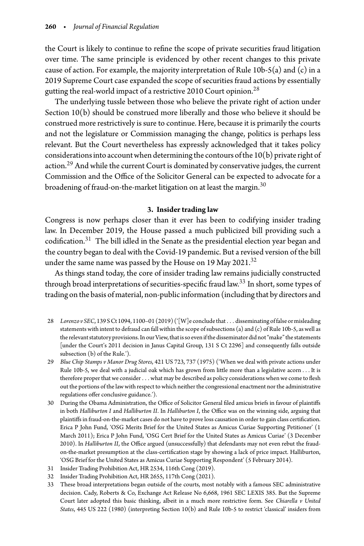the Court is likely to continue to refine the scope of private securities fraud litigation over time. The same principle is evidenced by other recent changes to this private cause of action. For example, the majority interpretation of Rule  $10b-5(a)$  and  $(c)$  in a 2019 Supreme Court case expanded the scope of securities fraud actions by essentially gutting the real-world impact of a restrictive 2010 Court opinion.<sup>[28](#page-7-0)</sup>

The underlying tussle between those who believe the private right of action under Section 10(b) should be construed more liberally and those who believe it should be construed more restrictively is sure to continue. Here, because it is primarily the courts and not the legislature or Commission managing the change, politics is perhaps less relevant. But the Court nevertheless has expressly acknowledged that it takes policy considerations into account when determining the contours of the  $10(b)$  private right of action.<sup>29</sup> And while the current Court is dominated by conservative judges, the current Commission and the Office of the Solicitor General can be expected to advocate for a broadening of fraud-on-the-market litigation on at least the margin.<sup>[30](#page-7-2)</sup>

## **3. Insider trading law**

Congress is now perhaps closer than it ever has been to codifying insider trading law. In December 2019, the House passed a much publicized bill providing such a codification. $31$  The bill idled in the Senate as the presidential election year began and the country began to deal with the Covid-19 pandemic. But a revised version of the bill under the same name was passed by the House on 19 May 2021. $32$ 

As things stand today, the core of insider trading law remains judicially constructed through broad interpretations of securities-specific fraud law.[33](#page-7-5) In short, some types of trading onthe basis of material, non-public information (includingthat by directors and

- <span id="page-7-0"></span>28 *Lorenzo v SEC*, 139 SCt 1094, 1100–01 (2019) ('[W]e concludethat *...* disseminating offalse or misleading statements with intent to defraud can fall within the scope of subsections (a) and (c) of Rule 10b-5, as well as the relevant statutory provisions. In our View, that is so even if the disseminator did not "make" the statements [under the Court's 2011 decision in Janus Capital Group, 131 S Ct 2296] and consequently falls outside subsection (b) of the Rule.').
- <span id="page-7-1"></span>29 *Blue Chip Stamps v Manor Drug Stores*, 421 US 723, 737 (1975) ('When we deal with private actions under Rule 10b-5, we deal with a judicial oak which has grown from little more than a legislative acorn *...* It is therefore proper that we consider *...* what may be described as policy considerations when we come to flesh out the portions of the law with respect to which neither the congressional enactment nor the administrative regulations offer conclusive guidance.').
- <span id="page-7-2"></span>30 During the Obama Administration, the Office of Solicitor General filed amicus briefs in favour of plaintiffs in both *Halliburton I* and *Halliburton II*. In *Halliburton I*, the Office was on the winning side, arguing that plaintiffs in fraud-on-the-market cases do not have to prove loss causation in order to gain class certification. Erica P John Fund, 'OSG Merits Brief for the United States as Amicus Curiae Supporting Petitioner' (1 March 2011); Erica P John Fund, 'OSG Cert Brief for the United States as Amicus Curiae' (3 December 2010). In *Halliburton II*, the Office argued (unsuccessfully) that defendants may not even rebut the fraudon-the-market presumption at the class-certification stage by showing a lack of price impact. Halliburton, 'OSG Brief for the United States as Amicus Curiae Supporting Respondent' (5 February 2014).
- 31 Insider Trading Prohibition Act, HR 2534, 116th Cong (2019).
- <span id="page-7-3"></span>32 Insider Trading Prohibition Act, HR 2655, 117th Cong (2021).
- <span id="page-7-5"></span><span id="page-7-4"></span>33 These broad interpretations began outside of the courts, most notably with a famous SEC administrative decision. Cady, Roberts & Co, Exchange Act Release No 6,668, 1961 SEC LEXIS 385. But the Supreme Court later adopted this basic thinking, albeit in a much more restrictive form. See *Chiarella v United States*, 445 US 222 (1980) (interpreting Section 10(b) and Rule 10b-5 to restrict 'classical' insiders from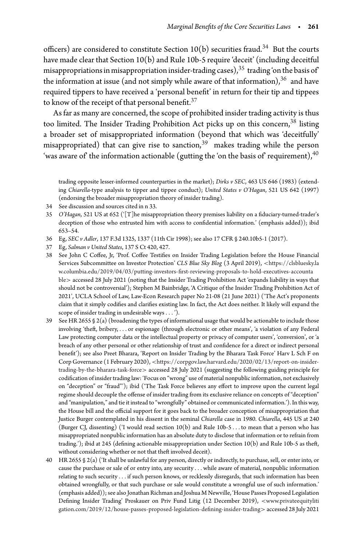officers) are considered to constitute Section  $10(b)$  securities fraud.<sup>[34](#page-8-0)</sup> But the courts have made clear that Section 10(b) and Rule 10b-5 require 'deceit' (including deceitful misappropriations in misappropriation insider-trading cases),  $35$  trading 'on the basis of' the information at issue (and not simply while aware of that information),  $36$  and have required tippers to have received a 'personal benefit' in return for their tip and tippees to know of the receipt of that personal benefit.  $37$ 

As far as many are concerned, the scope of prohibited insider trading activity is thus too limited. The Insider Trading Prohibition Act picks up on this concern,<sup>[38](#page-8-4)</sup> listing a broader set of misappropriated information (beyond that which was 'deceitfully' misappropriated) that can give rise to sanction,  $39$  makes trading while the person 'was aware of the information actionable (gutting the 'on the basis of' requirement),  $40$ 

trading opposite lesser-informed counterparties in the market); *Dirks v SEC*, 463 US 646 (1983) (extending *Chiarella*-type analysis to tipper and tippee conduct); *United States v O'Hagan*, 521 US 642 (1997) (endorsing the broader misappropriation theory of insider trading).

- 34 See discussion and sources cited in n 33.
- <span id="page-8-1"></span><span id="page-8-0"></span>35 *O'Hagan*, 521 US at 652 ('[T]he misappropriation theory premises liability on a fiduciary-turned-trader's deception of those who entrusted him with access to confidential information.' (emphasis added)); ibid 653–54.
- 36 Eg, *SEC v Adler*, 137 F.3d 1325, 1337 (11th Cir 1998); see also 17 CFR § 240.10b5-1 (2017).
- <span id="page-8-2"></span>37 Eg, *Salman v United States*, 137 S Ct 420, 427.
- <span id="page-8-4"></span><span id="page-8-3"></span>38 See John C Coffee, Jr, 'Prof. Coffee Testifies on Insider Trading Legislation before the House Financial Services Subcommittee on Investor Protection' *CLS Blue Sky Blog* (3 April 2019), *<*[https://clsbluesky.la](https://clsbluesky.law.columbia.edu/2019/04/03/putting-investors-first-reviewing-proposals-to-hold-executives-accountable) [w.columbia.edu/2019/04/03/putting-investors-first-reviewing-proposals-to-hold-executives-accounta](https://clsbluesky.law.columbia.edu/2019/04/03/putting-investors-first-reviewing-proposals-to-hold-executives-accountable) [ble](https://clsbluesky.law.columbia.edu/2019/04/03/putting-investors-first-reviewing-proposals-to-hold-executives-accountable)*>* accessed 28 July 2021 (noting that the Insider Trading Prohibition Act 'expands liability in ways that should not be controversial'); Stephen M Bainbridge, 'A Critique of the Insider Trading Prohibition Act of 2021', UCLA School of Law, Law-Econ Research paper No 21-08 (21 June 2021) ('The Act's proponents claim that it simply codifies and clarifies existing law. In fact, the Act does neither. It likely will expand the scope of insider trading in undesirable ways*...* ').
- <span id="page-8-5"></span>39 See HR 2655 § 2(a) (broadening the types of informational usage that would be actionable to include those involving 'theft, bribery, *...* or espionage (through electronic or other means', 'a violation of any Federal Law protecting computer data or the intellectual property or privacy of computer users', 'conversion', or 'a breach of any other personal or other relationship of trust and confidence for a direct or indirect personal benefit'); see also Preet Bharara, 'Report on Insider Trading by the Bharara Task Force' Harv L Sch F on Corp Governance (1 February 2020), *<*[https://corpgov.law.harvard.edu/2020/02/13/report-on-insider](https://corpgov.law.harvard.edu/2020/02/13/report-on-insider-trading-by-the-bharara-task-force)[trading-by-the-bharara-task-force](https://corpgov.law.harvard.edu/2020/02/13/report-on-insider-trading-by-the-bharara-task-force)*>* accessed 28 July 2021 (suggesting the following guiding principle for codification of insider trading law: 'Focus on "wrong" use of material nonpublic information, not exclusively on "deception" or "fraud"'); ibid ('The Task Force believes any effort to improve upon the current legal regime should decouple the offense of insider trading from its exclusive reliance on concepts of "deception" and "manipulation," and tie it instead to "wrongfully" obtained or communicated information.'). In this way, the House bill and the official support for it goes back to the broader conception of misappropriation that Justice Burger contemplated in his dissent in the seminal *Chiarella* case in 1980. *Chiarella*, 445 US at 240 (Burger CJ, dissenting) ('I would read section 10(b) and Rule 10b-5 *...* to mean that a person who has misappropriated nonpublic information has an absolute duty to disclose that information or to refrain from trading.'); ibid at 245 (defining actionable misappropriation under Section 10(b) and Rule 10b-5 as theft, without considering whether or not that theft involved deceit).
- <span id="page-8-6"></span>40 HR 2655 § 2(a) ('It shall be unlawful for any person, directly or indirectly, to purchase, sell, or enter into, or cause the purchase or sale of or entry into, any security *...* while aware of material, nonpublic information relating to such security *...* if such person knows, or recklessly disregards, that such information has been obtained wrongfully, or that such purchase or sale would constitute a wrongful use of such information.' (emphasis added)); see also Jonathan Richman and Joshua M Newville, 'House Passes Proposed Legislation Defining Insider Trading' Proskauer on Priv Fund Litig (12 December 2019), *<*[www.privateequityliti](www.privateequitylitigation.com/2019/12/house-passes-proposed-legislation-defining-insider-trading) [gation.com/2019/12/house-passes-proposed-legislation-defining-insider-trading](www.privateequitylitigation.com/2019/12/house-passes-proposed-legislation-defining-insider-trading)*>* accessed 28 July 2021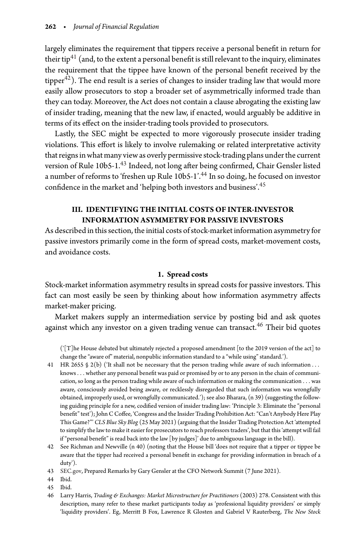largely eliminates the requirement that tippers receive a personal benefit in return for their tip<sup>[41](#page-9-0)</sup> (and, to the extent a personal benefit is still relevant to the inquiry, eliminates the requirement that the tippee have known of the personal benefit received by the tipper $\overline{42}$ ). The end result is a series of changes to insider trading law that would more easily allow prosecutors to stop a broader set of asymmetrically informed trade than they can today. Moreover, the Act does not contain a clause abrogating the existing law of insider trading, meaning that the new law, if enacted, would arguably be additive in terms of its effect on the insider-trading tools provided to prosecutors.

Lastly, the SEC might be expected to more vigorously prosecute insider trading violations. This effort is likely to involve rulemaking or related interpretative activity that reigns in what many view as overly permissive stock-trading plans under the current version of Rule 10b5-1.<sup>[43](#page-9-2)</sup> Indeed, not long after being confirmed, Chair Gensler listed a number of reforms to 'freshen up Rule 10b5-1'.[44](#page-9-3) In so doing, he focused on investor confidence in the market and 'helping both investors and business'.[45](#page-9-4)

# **III. IDENTIFYING THE INITIAL COSTS OF INTER-INVESTOR INFORMATION ASYMMETRY FOR PASSIVE INVESTORS**

As described in this section, the initial costs of stock-market information asymmetry for passive investors primarily come in the form of spread costs, market-movement costs, and avoidance costs.

## **1. Spread costs**

Stock-market information asymmetry results in spread costs for passive investors. This fact can most easily be seen by thinking about how information asymmetry affects market-maker pricing.

Market makers supply an intermediation service by posting bid and ask quotes against which any investor on a given trading venue can transact.<sup>[46](#page-9-5)</sup> Their bid quotes

('[T]he House debated but ultimately rejected a proposed amendment [to the 2019 version of the act] to change the "aware of" material, nonpublic information standard to a "while using" standard.').

- <span id="page-9-0"></span>41 HR 2655 § 2(b) ('It shall not be necessary that the person trading while aware of such information *...* knows*...* whether any personal benefit was paid or promised by or to any person in the chain of communication, so long as the person trading while aware of such information or making the communication *...* was aware, consciously avoided being aware, or recklessly disregarded that such information was wrongfully obtained, improperly used, or wrongfully communicated.'); see also Bharara, (n 39) (suggesting the following guiding principle for a new, codified version of insider trading law: 'Principle 3: Eliminate the "personal benefit" test'); John C Coffee, 'Congress and the Insider Trading Prohibition Act: "Can't Anybody Here Play This Game?"' *CLS Blue Sky Blog* (25 May 2021) (arguing that the Insider Trading Protection Act 'attempted to simplify the law to make it easier for prosecutors to reach professors traders', but that this 'attempt will fail if "personal benefit" is read back into the law [by judges]' due to ambiguous language in the bill).
- <span id="page-9-1"></span>42 See Richman and Newville (n 40) (noting that the House bill 'does not require that a tipper or tippee be aware that the tipper had received a personal benefit in exchange for providing information in breach of a duty').
- 43 [SEC.gov,](SEC.gov) Prepared Remarks by Gary Gensler at the CFO Network Summit (7 June 2021).
- <span id="page-9-2"></span>44 Ibid.
- <span id="page-9-3"></span>45 Ibid.
- <span id="page-9-5"></span><span id="page-9-4"></span>46 Larry Harris, *Trading & Exchanges: Market Microstructure for Practitioners* (2003) 278. Consistent with this description, many refer to these market participants today as 'professional liquidity providers' or simply 'liquidity providers'. Eg, Merritt B Fox, Lawrence R Glosten and Gabriel V Rauterberg, *The New Stock*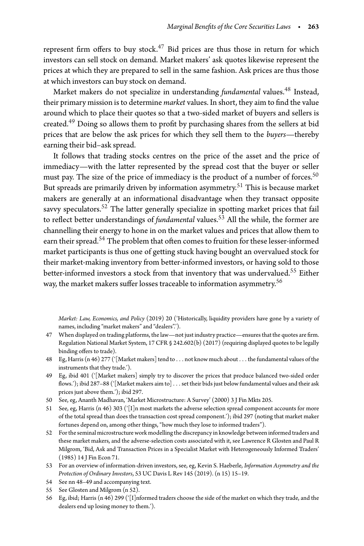represent firm offers to buy stock.<sup>47</sup> Bid prices are thus those in return for which investors can sell stock on demand. Market makers' ask quotes likewise represent the prices at which they are prepared to sell in the same fashion. Ask prices are thus those at which investors can buy stock on demand.

Market makers do not specialize in understanding *fundamental* values.<sup>[48](#page-10-1)</sup> Instead, their primary mission is to determine *market* values. In short, they aim to find the value around which to place their quotes so that a two-sided market of buyers and sellers is created.[49](#page-10-2) Doing so allows them to profit by purchasing shares from the sellers at bid prices that are below the ask prices for which they sell them to the *buyers*—thereby earning their bid–ask spread.

It follows that trading stocks centres on the price of the asset and the price of immediacy—with the latter represented by the spread cost that the buyer or seller must pay. The size of the price of immediacy is the product of a number of forces.<sup>[50](#page-10-3)</sup> But spreads are primarily driven by information asymmetry.<sup>51</sup> This is because market makers are generally at an informational disadvantage when they transact opposite savvy speculators.<sup>52</sup> The latter generally specialize in spotting market prices that fail to reflect better understandings of *fundamental* values.<sup>53</sup> All the while, the former are channelling their energy to hone in on the market values and prices that allow them to earn their spread.<sup>[54](#page-10-7)</sup> The problem that often comes to fruition for these lesser-informed market participants is thus one of getting stuck having bought an overvalued stock for their market-making inventory from better-informed investors, or having sold to those better-informed investors a stock from that inventory that was undervalued.<sup>55</sup> Either way, the market makers suffer losses traceable to information asymmetry.<sup>[56](#page-10-9)</sup>

*Market: Law, Economics, and Policy* (2019) 20 ('Historically, liquidity providers have gone by a variety of names, including "market makers" and "dealers".').

- <span id="page-10-0"></span>47 When displayed on trading platforms, the law—not just industry practice—ensures that the quotes are firm. Regulation National Market System, 17 CFR § 242.602(b) (2017) (requiring displayed quotes to be legally binding offers to trade).
- <span id="page-10-1"></span>48 Eg, Harris (n 46) 277 ('[Market makers] tend to *...* not know much about *...* the fundamental values of the instruments that they trade.').
- <span id="page-10-2"></span>49 Eg, ibid 401 ('[Market makers] simply try to discover the prices that produce balanced two-sided order flows.'); ibid 287–88 ('[Market makers aim to]*...*set their bids just below fundamental values and their ask prices just above them.'); ibid 297.
- 50 See, eg, Ananth Madhavan, 'Market Microstructure: A Survey' (2000) 3 J Fin Mkts 205.
- <span id="page-10-4"></span><span id="page-10-3"></span>51 See, eg, Harris (n 46) 303 ('[I]n most markets the adverse selection spread component accounts for more of the total spread than does the transaction cost spread component.'); ibid 297 (noting that market maker fortunes depend on, among other things, "how much they lose to informed traders").
- <span id="page-10-5"></span>52 For the seminal microstructure work modelling the discrepancy in knowledge between informed traders and these market makers, and the adverse-selection costs associated with it, see Lawrence R Glosten and Paul R Milgrom, 'Bid, Ask and Transaction Prices in a Specialist Market with Heterogeneously Informed Traders' (1985) 14 J Fin Econ 71.
- <span id="page-10-6"></span>53 For an overview of information-driven investors, see, eg, Kevin S. Haeberle, *Information Asymmetry and the Protection of Ordinary Investors*, 53 UC Davis L Rev 145 (2019). (n 15) 15–19.
- 54 See nn 48–49 and accompanying text.
- <span id="page-10-7"></span>55 See Glosten and Milgrom (n 52).
- <span id="page-10-9"></span><span id="page-10-8"></span>56 Eg, ibid; Harris (n 46) 299 ('[I]nformed traders choose the side of the market on which they trade, and the dealers end up losing money to them.').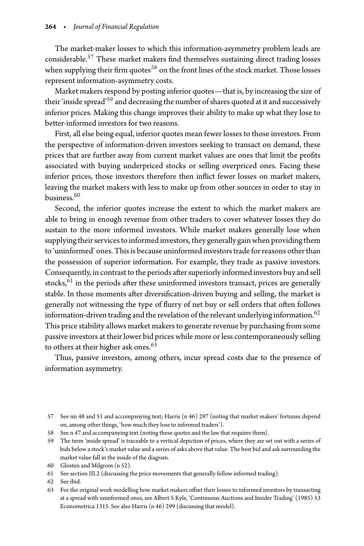The market-maker losses to which this information-asymmetry problem leads are considerable[.57](#page-11-0) These market makers find themselves sustaining direct trading losses when supplying their firm quotes<sup>58</sup> on the front lines of the stock market. Those losses represent information-asymmetry costs.

Market makers respond by posting inferior quotes—that is, by increasing the size of their 'inside spread['59](#page-11-2) and decreasing the number of shares quoted at it and successively inferior prices. Making this change improves their ability to make up what they lose to better-informed investors for two reasons.

First, all else being equal, inferior quotes mean fewer losses to those investors. From the perspective of information-driven investors seeking to transact on demand, these prices that are further away from current market values are ones that limit the profits associated with buying underpriced stocks or selling overpriced ones. Facing these inferior prices, those investors therefore then inflict fewer losses on market makers, leaving the market makers with less to make up from other sources in order to stay in business. $^{60}$  $^{60}$  $^{60}$ 

Second, the inferior quotes increase the extent to which the market makers are able to bring in enough revenue from other traders to cover whatever losses they do sustain to the more informed investors. While market makers generally lose when supplying their services to informed investors, they generally gain when providing them to 'uninformed' ones. This is because uninformed investors trade for reasons other than the possession of superior information. For example, they trade as passive investors. Consequently, in contrast to the periods after superiorly informed investors buy and sell stocks, $61$  in the periods after these uninformed investors transact, prices are generally stable. In those moments after diversification-driven buying and selling, the market is generally not witnessing the type of flurry of net buy or sell orders that often follows information-driven trading and the revelation of the relevant underlying information.<sup>[62](#page-11-5)</sup> This price stability allows market makers to generate revenue by purchasing from some passive investors at their lower bid prices while more or less contemporaneously selling to others at their higher ask ones.<sup>63</sup>

Thus, passive investors, among others, incur spread costs due to the presence of information asymmetry.

- 58 See n 47 and accompanying text (noting these quotes and the law that requires them).
- <span id="page-11-2"></span><span id="page-11-1"></span>59 The term 'inside spread' is traceable to a vertical depiction of prices, where they are set out with a series of bids below a stock's market value and a series of asks above that value. The best bid and ask surrounding the market value fall in the inside of the diagram.
- 60 Glosten and Milgrom (n 52).
- <span id="page-11-3"></span>61 See section III.2 (discussing the price movements that generally follow informed trading).
- <span id="page-11-4"></span>62 See ibid.
- <span id="page-11-6"></span><span id="page-11-5"></span>63 For the original work modelling how market makers offset their losses to informed investors by transacting at a spread with uninformed ones, see Albert S Kyle, 'Continuous Auctions and Insider Trading' (1985) 53 Econometrica 1315. See also Harris (n 46) 299 (discussing that model).

<span id="page-11-0"></span><sup>57</sup> See nn 48 and 51 and accompanying text; Harris (n 46) 297 (noting that market makers' fortunes depend on, among other things, 'how much they lose to informed traders').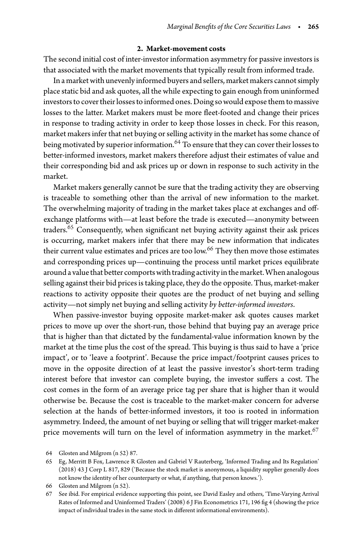## **2. Market-movement costs**

The second initial cost of inter-investor information asymmetry for passive investors is that associated with the market movements that typically result from informed trade.

In a market with unevenly informed buyers and sellers, market makers cannot simply place static bid and ask quotes, all the while expecting to gain enough from uninformed investors to cover their losses to informed ones. Doing so would expose them to massive losses to the latter. Market makers must be more fleet-footed and change their prices in response to trading activity in order to keep those losses in check. For this reason, market makers infer that net buying or selling activity in the market has some chance of being motivated by superior information.<sup>64</sup> To ensure that they can cover their losses to better-informed investors, market makers therefore adjust their estimates of value and their corresponding bid and ask prices up or down in response to such activity in the market.

Market makers generally cannot be sure that the trading activity they are observing is traceable to something other than the arrival of new information to the market. The overwhelming majority of trading in the market takes place at exchanges and offexchange platforms with—at least before the trade is executed—anonymity between traders.<sup>[65](#page-12-1)</sup> Consequently, when significant net buying activity against their ask prices is occurring, market makers infer that there may be new information that indicates their current value estimates and prices are too low.<sup>[66](#page-12-2)</sup> They then move those estimates and corresponding prices up—continuing the process until market prices equilibrate around a value that better comports with trading activity in the market. When analogous selling against their bid prices is taking place, they do the opposite. Thus, market-maker reactions to activity opposite their quotes are the product of net buying and selling activity—not simply net buying and selling activity *by better-informed investors*.

When passive-investor buying opposite market-maker ask quotes causes market prices to move up over the short-run, those behind that buying pay an average price that is higher than that dictated by the fundamental-value information known by the market at the time plus the cost of the spread. This buying is thus said to have a 'price impact', or to 'leave a footprint'. Because the price impact/footprint causes prices to move in the opposite direction of at least the passive investor's short-term trading interest before that investor can complete buying, the investor suffers a cost. The cost comes in the form of an average price tag per share that is higher than it would otherwise be. Because the cost is traceable to the market-maker concern for adverse selection at the hands of better-informed investors, it too is rooted in information asymmetry. Indeed, the amount of net buying or selling that will trigger market-maker price movements will turn on the level of information asymmetry in the market.<sup>[67](#page-12-3)</sup>

<sup>64</sup> Glosten and Milgrom (n 52) 87.

<span id="page-12-1"></span><span id="page-12-0"></span><sup>65</sup> Eg, Merritt B Fox, Lawrence R Glosten and Gabriel V Rauterberg, 'Informed Trading and Its Regulation' (2018) 43 J Corp L 817, 829 ('Because the stock market is anonymous, a liquidity supplier generally does not know the identity of her counterparty or what, if anything, that person knows.').

<sup>66</sup> Glosten and Milgrom (n 52).

<span id="page-12-3"></span><span id="page-12-2"></span><sup>67</sup> See ibid. For empirical evidence supporting this point, see David Easley and others, 'Time-Varying Arrival Rates of Informed and Uninformed Traders' (2008) 6 J Fin Econometrics 171, 196 fig 4 (showing the price impact of individual trades in the same stock in different informational environments).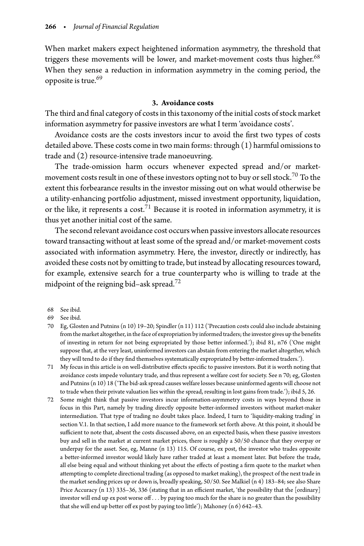When market makers expect heightened information asymmetry, the threshold that triggers these movements will be lower, and market-movement costs thus higher. $68$ When they sense a reduction in information asymmetry in the coming period, the opposite is true.<sup>69</sup>

## **3. Avoidance costs**

The third and final category of costs in this taxonomy of the initial costs of stock market information asymmetry for passive investors are what I term 'avoidance costs'.

Avoidance costs are the costs investors incur to avoid the first two types of costs detailed above. These costs come in two main forms: through (1) harmful omissions to trade and (2) resource-intensive trade manoeuvring.

The trade-omission harm occurs whenever expected spread and/or market-movement costs result in one of these investors opting not to buy or sell stock.<sup>[70](#page-13-2)</sup> To the extent this forbearance results in the investor missing out on what would otherwise be a utility-enhancing portfolio adjustment, missed investment opportunity, liquidation, or the like, it represents a cost.<sup>[71](#page-13-3)</sup> Because it is rooted in information asymmetry, it is thus yet another initial cost of the same.

The second relevant avoidance cost occurs when passive investors allocate resources toward transacting without at least some of the spread and/or market-movement costs associated with information asymmetry. Here, the investor, directly or indirectly, has avoided these costs not by omitting to trade, but instead by allocating resources toward, for example, extensive search for a true counterparty who is willing to trade at the midpoint of the reigning bid–ask spread.<sup>[72](#page-13-4)</sup>

- <span id="page-13-2"></span><span id="page-13-1"></span>70 Eg, Glosten and Putnins (n 10) 19–20; Spindler (n 11) 112 ('Precaution costs could also include abstaining from the market altogether, in the face of expropriation by informed traders; the investor gives up the benefits of investing in return for not being expropriated by those better informed.'); ibid 81, n76 ('One might suppose that, at the very least, uninformed investors can abstain from entering the market altogether, which they will tend to do if they find themselves systematically expropriated by better-informed traders.').
- <span id="page-13-3"></span>71 My focus in this article is on well-distributive effects specific to passive investors. But it is worth noting that avoidance costs impede voluntary trade, and thus represent a welfare cost for society. See n 70; eg, Glosten and Putnins (n 10) 18 ('The bid-ask spread causes welfare losses because uninformed agents will choose not to trade when their private valuation lies within the spread, resulting in lost gains from trade.'); ibid 5, 26.
- <span id="page-13-4"></span>72 Some might think that passive investors incur information-asymmetry costs in ways beyond those in focus in this Part, namely by trading directly opposite better-informed investors without market-maker intermediation. That type of trading no doubt takes place. Indeed, I turn to 'liquidity-making trading' in section V.1. In that section, I add more nuance to the framework set forth above. At this point, it should be sufficient to note that, absent the costs discussed above, on an expected basis, when these passive investors buy and sell in the market at current market prices, there is roughly a 50/50 chance that they overpay or underpay for the asset. See, eg, Manne (n 13) 115. Of course, ex post, the investor who trades opposite a better-informed investor would likely have rather traded at least a moment later. But before the trade, all else being equal and without thinking yet about the effects of posting a firm quote to the market when attempting to complete directional trading (as opposed to market making), the prospect of the next trade in the market sending prices up or down is, broadly speaking, 50/50. See Malkiel (n 4) 183–84; see also Share Price Accuracy (n 13) 335-36, 336 (stating that in an efficient market, 'the possibility that the [ordinary] investor will end up ex post worse off *...* by paying too much for the share is no greater than the possibility that she will end up better off ex post by paying too little'); Mahoney (n 6) 642–43.

<sup>68</sup> See ibid.

<span id="page-13-0"></span><sup>69</sup> See ibid.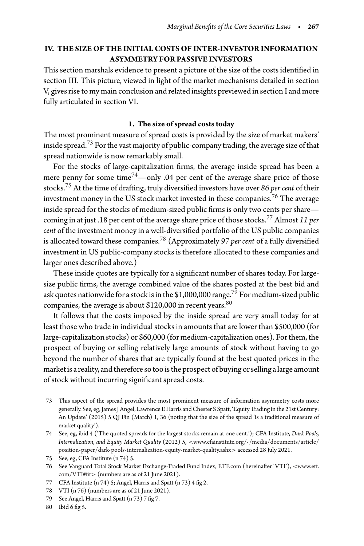# **IV. THE SIZE OF THE INITIAL COSTS OF INTER-INVESTOR INFORMATION ASYMMETRY FOR PASSIVE INVESTORS**

This section marshals evidence to present a picture of the size of the costs identified in section III. This picture, viewed in light of the market mechanisms detailed in section V, gives rise to my main conclusion and related insights previewed in section I and more fully articulated in section VI.

#### **1. The size of spread costs today**

The most prominent measure of spread costs is provided by the size of market makers' inside spread.<sup>73</sup> For the vast majority of public-company trading, the average size of that spread nationwide is now remarkably small.

For the stocks of large-capitalization firms, the average inside spread has been a mere penny for some time<sup>74</sup>—only .04 per cent of the average share price of those stocks.[75](#page-14-2) At the time of drafting, truly diversified investors have over *86 per cent* of their investment money in the US stock market invested in these companies.<sup>[76](#page-14-3)</sup> The average inside spread for the stocks of medium-sized public firms is only two cents per share coming in at just .18 per cent of the average share price of those stocks.[77](#page-14-4) Almost *11 per cent* of the investment money in a well-diversified portfolio of the US public companies is allocated toward these companies.[78](#page-14-5) (Approximately *97 per cent* of a fully diversified investment in US public-company stocks is therefore allocated to these companies and larger ones described above.)

These inside quotes are typically for a significant number of shares today. For largesize public firms, the average combined value of the shares posted at the best bid and ask quotes nationwide for a stock is in the \$1,000,000 range.<sup>[79](#page-14-6)</sup> For medium-sized public companies, the average is about \$120,000 in recent years. 80

It follows that the costs imposed by the inside spread are very small today for at least those who trade in individual stocks in amounts that are lower than \$500,000 (for large-capitalization stocks) or \$60,000 (for medium-capitalization ones). For them, the prospect of buying or selling relatively large amounts of stock without having to go beyond the number of shares that are typically found at the best quoted prices in the market is a reality, and therefore so too is the prospect of buying or selling a large amount of stock without incurring significant spread costs.

- <span id="page-14-0"></span>73 This aspect of the spread provides the most prominent measure of information asymmetry costs more generally. See, eg, James J Angel, Lawrence E Harris and Chester S Spatt, 'Equity Trading inthe 21st Century: An Update' (2015) 5 QJ Fin (March) 1, 36 (noting that the size of the spread 'is a traditional measure of market quality').
- <span id="page-14-1"></span>74 See, eg, ibid 4 ('The quoted spreads for the largest stocks remain at one cent.'); CFA Institute, *Dark Pools, Internalization, and Equity Market Quality* (2012) 5, *<*[www.cfainstitute.org/-/media/documents/article/](www.cfainstitute.org/-/media/documents/article/position-paper/dark-pools-internalization-equity-market-quality.ashx) [position-paper/dark-pools-internalization-equity-market-quality.ashx](www.cfainstitute.org/-/media/documents/article/position-paper/dark-pools-internalization-equity-market-quality.ashx)*>* accessed 28 July 2021.
- 75 See, eg, CFA Institute (n 74) 5.
- <span id="page-14-3"></span><span id="page-14-2"></span>76 See Vanguard Total Stock Market Exchange-Traded Fund Index, <ETF.com> (hereinafter 'VTI'), *<*[www.etf.](www.etf.com/VTI#fit) [com/VTI#fit](www.etf.com/VTI#fit)*>* (numbers are as of 21 June 2021).
- 77 CFA Institute (n 74) 5; Angel, Harris and Spatt (n 73) 4 fig 2.
- <span id="page-14-4"></span>78 VTI (n 76) (numbers are as of 21 June 2021).
- <span id="page-14-5"></span>79 See Angel, Harris and Spatt (n 73) 7 fig 7.
- <span id="page-14-7"></span><span id="page-14-6"></span>80 Ibid 6 fig 5.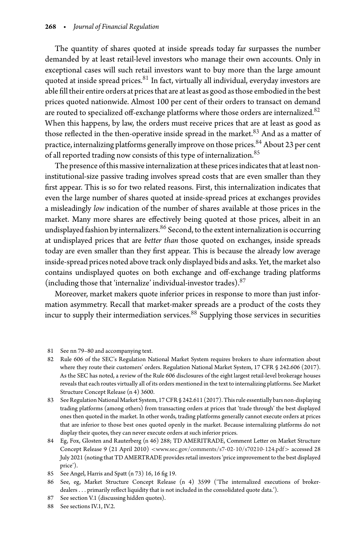The quantity of shares quoted at inside spreads today far surpasses the number demanded by at least retail-level investors who manage their own accounts. Only in exceptional cases will such retail investors want to buy more than the large amount quoted at inside spread prices.<sup>[81](#page-15-0)</sup> In fact, virtually all individual, everyday investors are able fill their entire orders at prices that are at least as good as those embodied in the best prices quoted nationwide. Almost 100 per cent of their orders to transact on demand are routed to specialized off-exchange platforms where those orders are internalized.<sup>82</sup> When this happens, by law, the orders must receive prices that are at least as good as those reflected in the then-operative inside spread in the market.<sup>83</sup> And as a matter of practice, internalizing platforms generally improve on those prices.<sup>[84](#page-15-3)</sup> About 23 per cent of all reported trading now consists of this type of internalization.<sup>[85](#page-15-4)</sup>

The presence of this massive internalization at these prices indicates that at least noninstitutional-size passive trading involves spread costs that are even smaller than they first appear. This is so for two related reasons. First, this internalization indicates that even the large number of shares quoted at inside-spread prices at exchanges provides a misleadingly *low* indication of the number of shares available at those prices in the market. Many more shares are effectively being quoted at those prices, albeit in an undisplayed fashion by internalizers. $86$  Second, to the extent internalization is occurring at undisplayed prices that are *better than* those quoted on exchanges, inside spreads today are even smaller than they first appear. This is because the already low average inside-spread prices noted above track only displayed bids and asks. Yet, the market also contains undisplayed quotes on both exchange and off-exchange trading platforms (including those that 'internalize' individual-investor trades).[87](#page-15-6)

Moreover, market makers quote inferior prices in response to more than just information asymmetry. Recall that market-maker spreads are a product of the costs they incur to supply their intermediation services.<sup>[88](#page-15-7)</sup> Supplying those services in securities

- <span id="page-15-1"></span><span id="page-15-0"></span>82 Rule 606 of the SEC's Regulation National Market System requires brokers to share information about where they route their customers' orders. Regulation National Market System, 17 CFR § 242.606 (2017). As the SEC has noted, a review of the Rule 606 disclosures of the eight largest retail-level brokerage houses reveals that each routes virtually all of its orders mentioned in the text to internalizing platforms. See Market Structure Concept Release (n 4) 3600.
- <span id="page-15-2"></span>83 See Regulation National Market System, 17 CFR § 242.611 (2017). This rule essentially bars non-displaying trading platforms (among others) from transacting orders at prices that 'trade through' the best displayed ones then quoted in the market. In other words, trading platforms generally cannot execute orders at prices that are inferior to those best ones quoted openly in the market. Because internalizing platforms do not display their quotes, they can never execute orders at such inferior prices.
- <span id="page-15-3"></span>84 Eg, Fox, Glosten and Rauterberg (n 46) 288; TD AMERITRADE, Comment Letter on Market Structure Concept Release 9 (21 April 2010) *<*<www.sec.gov/comments/s7-02-10/s70210-124.pdf>*>* accessed 28 July 2021 (noting that TD AMERTRADE provides retail investors 'price improvement to the best displayed price').
- 85 See Angel, Harris and Spatt (n 73) 16, 16 fig 19.
- <span id="page-15-5"></span><span id="page-15-4"></span>86 See, eg, Market Structure Concept Release (n 4) 3599 ('The internalized executions of brokerdealers*...* primarily reflect liquidity that is not included in the consolidated quote data.').
- 87 See section V.1 (discussing hidden quotes).
- <span id="page-15-7"></span><span id="page-15-6"></span>88 See sections IV.1, IV.2.

<sup>81</sup> See nn 79–80 and accompanying text.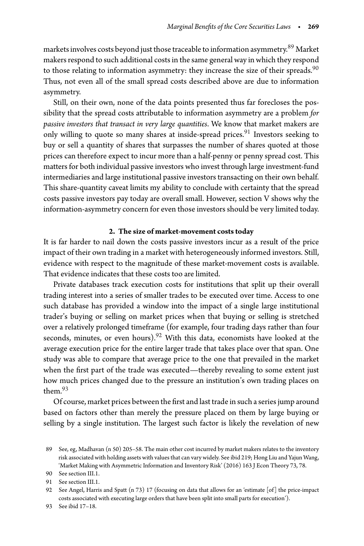markets involves costs beyond just those traceable to information asymmetry.<sup>89</sup> Market makers respond to such additional costs in the same general way in which they respond to those relating to information asymmetry: they increase the size of their spreads.  $90$ Thus, not even all of the small spread costs described above are due to information asymmetry.

Still, on their own, none of the data points presented thus far forecloses the possibility that the spread costs attributable to information asymmetry are a problem *for passive investors that transact in very large quantities*. We know that market makers are only willing to quote so many shares at inside-spread prices.<sup>[91](#page-16-2)</sup> Investors seeking to buy or sell a quantity of shares that surpasses the number of shares quoted at those prices can therefore expect to incur more than a half-penny or penny spread cost. This matters for both individual passive investors who invest through large investment-fund intermediaries and large institutional passive investors transacting on their own behalf. This share-quantity caveat limits my ability to conclude with certainty that the spread costs passive investors pay today are overall small. However, section V shows why the information-asymmetry concern for even those investors should be very limited today.

## **2. The size of market-movement costs today**

It is far harder to nail down the costs passive investors incur as a result of the price impact of their own trading in a market with heterogeneously informed investors. Still, evidence with respect to the magnitude of these market-movement costs is available. That evidence indicates that these costs too are limited.

Private databases track execution costs for institutions that split up their overall trading interest into a series of smaller trades to be executed over time. Access to one such database has provided a window into the impact of a single large institutional trader's buying or selling on market prices when that buying or selling is stretched over a relatively prolonged timeframe (for example, four trading days rather than four seconds, minutes, or even hours).<sup>[92](#page-16-3)</sup> With this data, economists have looked at the average execution price for the entire larger trade that takes place over that span. One study was able to compare that average price to the one that prevailed in the market when the first part of the trade was executed—thereby revealing to some extent just how much prices changed due to the pressure an institution's own trading places on them $.93$  $.93$ 

Of course, market prices between the first and last trade in such a series jump around based on factors other than merely the pressure placed on them by large buying or selling by a single institution. The largest such factor is likely the revelation of new

<span id="page-16-0"></span><sup>89</sup> See, eg, Madhavan (n 50) 205–58. The main other cost incurred by market makers relates to the inventory risk associated with holding assets with values that can vary widely. See ibid 219; Hong Liu and Yajun Wang, 'Market Making with Asymmetric Information and Inventory Risk' (2016) 163 J Econ Theory 73, 78.

<sup>90</sup> See section III.1.

<span id="page-16-1"></span><sup>91</sup> See section III.1.

<span id="page-16-3"></span><span id="page-16-2"></span><sup>92</sup> See Angel, Harris and Spatt (n 73) 17 (focusing on data that allows for an 'estimate [of] the price-impact costs associated with executing large orders that have been split into small parts for execution').

<span id="page-16-4"></span><sup>93</sup> See ibid 17–18.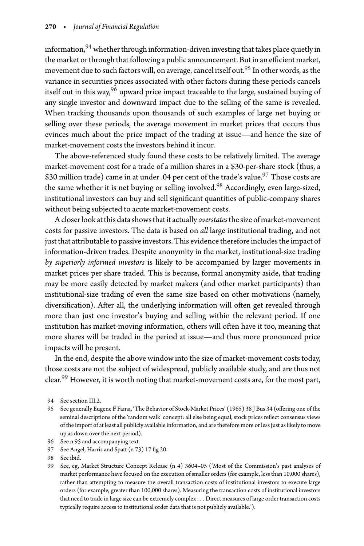information,  $94$  whether through information-driven investing that takes place quietly in the market or through that following a public announcement. But in an efficient market, movement due to such factors will, on average, cancel itself out.<sup>[95](#page-17-1)</sup> In other words, as the variance in securities prices associated with other factors during these periods cancels itself out in this way,  $96$  upward price impact traceable to the large, sustained buying of any single investor and downward impact due to the selling of the same is revealed. When tracking thousands upon thousands of such examples of large net buying or selling over these periods, the average movement in market prices that occurs thus evinces much about the price impact of the trading at issue—and hence the size of market-movement costs the investors behind it incur.

The above-referenced study found these costs to be relatively limited. The average market-movement cost for a trade of a million shares in a \$30-per-share stock (thus, a \$30 million trade) came in at under .04 per cent of the trade's value.<sup>97</sup> Those costs are the same whether it is net buying or selling involved.<sup>[98](#page-17-4)</sup> Accordingly, even large-sized, institutional investors can buy and sell significant quantities of public-company shares without being subjected to acute market-movement costs.

A closer look atthis data showsthat it actually *overstates*the size of market-movement costs for passive investors. The data is based on *all* large institutional trading, and not just that attributable to passive investors. This evidence therefore includes the impact of information-driven trades. Despite anonymity in the market, institutional-size trading *by superiorly informed investors* is likely to be accompanied by larger movements in market prices per share traded. This is because, formal anonymity aside, that trading may be more easily detected by market makers (and other market participants) than institutional-size trading of even the same size based on other motivations (namely, diversification). After all, the underlying information will often get revealed through more than just one investor's buying and selling within the relevant period. If one institution has market-moving information, others will often have it too, meaning that more shares will be traded in the period at issue—and thus more pronounced price impacts will be present.

In the end, despite the above window into the size of market-movement costs today, those costs are not the subject of widespread, publicly available study, and are thus not clear.<sup>99</sup> However, it is worth noting that market-movement costs are, for the most part,

<span id="page-17-2"></span>97 See Angel, Harris and Spatt (n 73) 17 fig 20.

<sup>94</sup> See section III.2.

<span id="page-17-1"></span><span id="page-17-0"></span><sup>95</sup> See generally Eugene F Fama, 'The Behavior of Stock-Market Prices' (1965) 38 J Bus 34 (offering one of the seminal descriptions of the 'random walk' concept: all else being equal, stock prices reflect consensus views of the import of at least all publicly available information, and are therefore more or less just as likely to move up as down over the next period).

<sup>96</sup> See n 95 and accompanying text.

<span id="page-17-3"></span><sup>98</sup> See ibid.

<span id="page-17-5"></span><span id="page-17-4"></span><sup>99</sup> See, eg, Market Structure Concept Release (n 4) 3604–05 ('Most of the Commission's past analyses of market performance have focused on the execution of smaller orders (for example, less than 10,000 shares), rather than attempting to measure the overall transaction costs of institutional investors to execute large orders (for example, greater than 100,000 shares). Measuring the transaction costs of institutional investors that need to trade in large size can be extremely complex*...* Direct measures of large order transaction costs typically require access to institutional order data that is not publicly available.').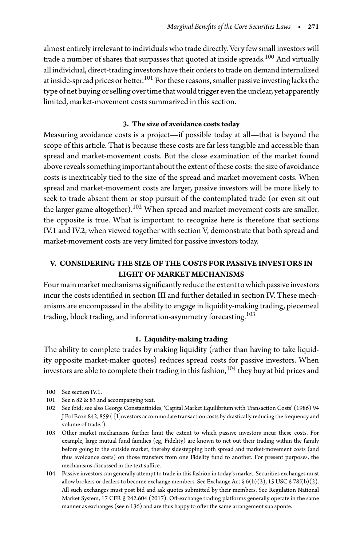almost entirely irrelevant to individuals who trade directly. Very few small investors will trade a number of shares that surpasses that quoted at inside spreads. $^{100}$  $^{100}$  $^{100}$  And virtually all individual, direct-trading investors have their orders to trade on demand internalized at inside-spread prices or better.<sup>[101](#page-18-1)</sup> For these reasons, smaller passive investing lacks the type of net buying or selling over time that would trigger even the unclear, yet apparently limited, market-movement costs summarized in this section.

## **3. The size of avoidance costs today**

Measuring avoidance costs is a project—if possible today at all—that is beyond the scope of this article. That is because these costs are far less tangible and accessible than spread and market-movement costs. But the close examination of the market found above reveals something important about the extent of these costs: the size of avoidance costs is inextricably tied to the size of the spread and market-movement costs. When spread and market-movement costs are larger, passive investors will be more likely to seek to trade absent them or stop pursuit of the contemplated trade (or even sit out the larger game altogether).<sup>102</sup> When spread and market-movement costs are smaller, the opposite is true. What is important to recognize here is therefore that sections IV.1 and IV.2, when viewed together with section V, demonstrate that both spread and market-movement costs are very limited for passive investors today.

# **V. CONSIDERING THE SIZE OF THE COSTS FOR PASSIVE INVESTORS IN LIGHT OF MARKET MECHANISMS**

Four main market mechanisms significantly reduce the extent to which passive investors incur the costs identified in section III and further detailed in section IV. These mechanisms are encompassed in the ability to engage in liquidity-making trading, piecemeal trading, block trading, and information-asymmetry forecasting.<sup>[103](#page-18-3)</sup>

## **1. Liquidity-making trading**

The ability to complete trades by making liquidity (rather than having to take liquidity opposite market-maker quotes) reduces spread costs for passive investors. When investors are able to complete their trading in this fashion,<sup>[104](#page-18-4)</sup> they buy at bid prices and

- <span id="page-18-3"></span>103 Other market mechanisms further limit the extent to which passive investors incur these costs. For example, large mutual fund families (eg, Fidelity) are known to net out their trading within the family before going to the outside market, thereby sidestepping both spread and market-movement costs (and thus avoidance costs) on those transfers from one Fidelity fund to another. For present purposes, the mechanisms discussed in the text suffice.
- <span id="page-18-4"></span>104 Passive investors can generally attempt to trade in this fashion in today's market. Securities exchanges must allow brokers or dealers to become exchange members. See Exchange Act  $\mathcal{S}(b)(2)$ , 15 USC  $\mathcal{S}$  78f(b)(2). All such exchanges must post bid and ask quotes submitted by their members. See Regulation National Market System, 17 CFR § 242.604 (2017). Off-exchange trading platforms generally operate in the same manner as exchanges (see n 136) and are thus happy to offer the same arrangement sua sponte.

<sup>100</sup> See section IV.1.

<span id="page-18-0"></span><sup>101</sup> See n 82 & 83 and accompanying text.

<span id="page-18-2"></span><span id="page-18-1"></span><sup>102</sup> See ibid; see also George Constantinides, 'Capital Market Equilibrium with Transaction Costs' (1986) 94 J Pol Econ 842, 859 ('[I]nvestors accommodate transaction costs by drastically reducing the frequency and volume of trade.').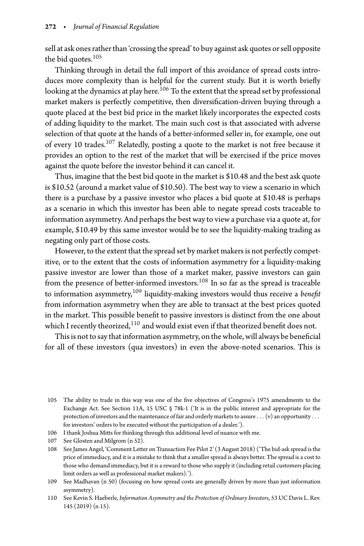sell at ask ones rather than 'crossing the spread'to buy against ask quotes or sell opposite the bid quotes.<sup>[105](#page-19-0)</sup>

Thinking through in detail the full import of this avoidance of spread costs introduces more complexity than is helpful for the current study. But it is worth briefly looking at the dynamics at play here.<sup>[106](#page-19-1)</sup> To the extent that the spread set by professional market makers is perfectly competitive, then diversification-driven buying through a quote placed at the best bid price in the market likely incorporates the expected costs of adding liquidity to the market. The main such cost is that associated with adverse selection of that quote at the hands of a better-informed seller in, for example, one out of every 10 trades.<sup>107</sup> Relatedly, posting a quote to the market is not free because it provides an option to the rest of the market that will be exercised if the price moves against the quote before the investor behind it can cancel it.

Thus, imagine that the best bid quote in the market is \$10.48 and the best ask quote is \$10.52 (around a market value of \$10.50). The best way to view a scenario in which there is a purchase by a passive investor who places a bid quote at \$10.48 is perhaps as a scenario in which this investor has been able to negate spread costs traceable to information asymmetry. And perhaps the best way to view a purchase via a quote at, for example, \$10.49 by this same investor would be to see the liquidity-making trading as negating only part of those costs.

However, to the extent that the spread set by market makers is not perfectly competitive, or to the extent that the costs of information asymmetry for a liquidity-making passive investor are lower than those of a market maker, passive investors can gain from the presence of better-informed investors.[108](#page-19-3) In so far as the spread is traceable to information asymmetry[,109](#page-19-4) liquidity-making investors would thus receive a *benefit* from information asymmetry when they are able to transact at the best prices quoted in the market. This possible benefit to passive investors is distinct from the one about which I recently theorized,<sup>110</sup> and would exist even if that theorized benefit does not.

This is not to say that information asymmetry, on the whole, will always be beneficial for all of these investors (qua investors) in even the above-noted scenarios. This is

<span id="page-19-1"></span>107 See Glosten and Milgrom (n 52).

<span id="page-19-0"></span><sup>105</sup> The ability to trade in this way was one of the five objectives of Congress's 1975 amendments to the Exchange Act. See Section 11A, 15 USC § 78k-1 ('It is in the public interest and appropriate for the protection of investors andthe maintenance of fair and orderly marketsto assure *...* (v) an opportunity *...* for investors' orders to be executed without the participation of a dealer.').

<sup>106</sup> I thank Joshua Mitts for thinking through this additional level of nuance with me.

<span id="page-19-3"></span><span id="page-19-2"></span><sup>108</sup> See James Angel, 'Comment Letter on Transaction Fee Pilot 2' (3 August 2018) ('The bid-ask spread is the price of immediacy, and it is a mistake to think that a smaller spread is always better. The spread is a cost to those who demand immediacy, but it is a reward to those who supply it (including retail customers placing limit orders as well as professional market makers).').

<span id="page-19-4"></span><sup>109</sup> See Madhavan (n 50) (focusing on how spread costs are generally driven by more than just information asymmetry).

<span id="page-19-5"></span><sup>110</sup> See Kevin S. Haeberle, *Information Asymmetry and the Protection of Ordinary Investors*, 53 UC Davis L. Rev. 145 (2019) (n 15).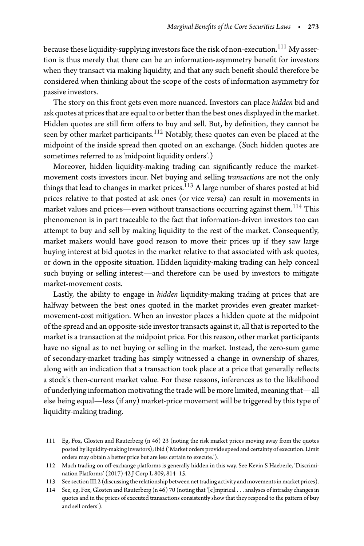because these liquidity-supplying investors face the risk of non-execution.<sup>[111](#page-20-0)</sup> My assertion is thus merely that there can be an information-asymmetry benefit for investors when they transact via making liquidity, and that any such benefit should therefore be considered when thinking about the scope of the costs of information asymmetry for passive investors.

The story on this front gets even more nuanced. Investors can place *hidden* bid and ask quotes at prices that are equal to or better than the best ones displayed in the market. Hidden quotes are still firm offers to buy and sell. But, by definition, they cannot be seen by other market participants.<sup>[112](#page-20-1)</sup> Notably, these quotes can even be placed at the midpoint of the inside spread then quoted on an exchange. (Such hidden quotes are sometimes referred to as 'midpoint liquidity orders'.)

Moreover, hidden liquidity-making trading can significantly reduce the marketmovement costs investors incur. Net buying and selling *transactions* are not the only things that lead to changes in market prices.<sup>[113](#page-20-2)</sup> A large number of shares posted at bid prices relative to that posted at ask ones (or vice versa) can result in movements in market values and prices—even without transactions occurring against them.<sup>[114](#page-20-3)</sup> This phenomenon is in part traceable to the fact that information-driven investors too can attempt to buy and sell by making liquidity to the rest of the market. Consequently, market makers would have good reason to move their prices up if they saw large buying interest at bid quotes in the market relative to that associated with ask quotes, or down in the opposite situation. Hidden liquidity-making trading can help conceal such buying or selling interest—and therefore can be used by investors to mitigate market-movement costs.

Lastly, the ability to engage in *hidden* liquidity-making trading at prices that are halfway between the best ones quoted in the market provides even greater marketmovement-cost mitigation. When an investor places a hidden quote at the midpoint of the spread and an opposite-side investor transacts against it, all that is reported to the market is a transaction at the midpoint price. For this reason, other market participants have no signal as to net buying or selling in the market. Instead, the zero-sum game of secondary-market trading has simply witnessed a change in ownership of shares, along with an indication that a transaction took place at a price that generally reflects a stock's then-current market value. For these reasons, inferences as to the likelihood of underlying information motivating the trade will be more limited, meaning that—all else being equal—less (if any) market-price movement will be triggered by this type of liquidity-making trading.

<span id="page-20-3"></span><span id="page-20-2"></span>114 See, eg, Fox, Glosten and Rauterberg (n 46) 70 (noting that '[e]mpirical *...* analyses of intraday changes in quotes and in the prices of executed transactions consistently show that they respond to the pattern of buy and sell orders').

<span id="page-20-0"></span><sup>111</sup> Eg, Fox, Glosten and Rauterberg (n 46) 23 (noting the risk market prices moving away from the quotes posted by liquidity-making investors); ibid ('Market orders provide speed and certainty of execution. Limit orders may obtain a better price but are less certain to execute.').

<span id="page-20-1"></span><sup>112</sup> Much trading on off-exchange platforms is generally hidden in this way. See Kevin S Haeberle, 'Discrimination Platforms' (2017) 42 J Corp L 809, 814–15.

<sup>113</sup> See section III.2 (discussingthe relationship between nettrading activity and movements in market prices).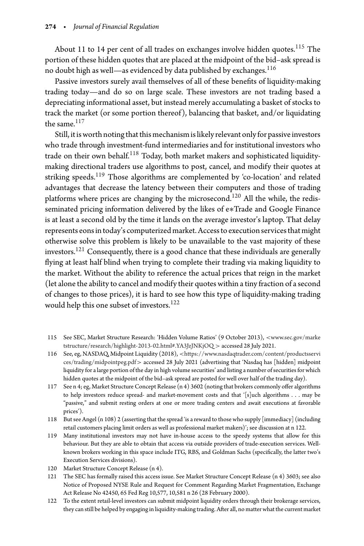About 11 to 14 per cent of all trades on exchanges involve hidden quotes.<sup>[115](#page-21-0)</sup> The portion of these hidden quotes that are placed at the midpoint of the bid–ask spread is no doubt high as well—as evidenced by data published by exchanges.  $^{116}$  $^{116}$  $^{116}$ 

Passive investors surely avail themselves of all of these benefits of liquidity-making trading today—and do so on large scale. These investors are not trading based a depreciating informational asset, but instead merely accumulating a basket of stocks to track the market (or some portion thereof), balancing that basket, and/or liquidating the same. $117$ 

Still, it is worth noting that this mechanism is likely relevant only for passive investors who trade through investment-fund intermediaries and for institutional investors who trade on their own behalf. $118$  Today, both market makers and sophisticated liquiditymaking directional traders use algorithms to post, cancel, and modify their quotes at striking speeds.<sup>[119](#page-21-4)</sup> Those algorithms are complemented by 'co-location' and related advantages that decrease the latency between their computers and those of trading platforms where prices are changing by the microsecond.<sup>120</sup> All the while, the redisseminated pricing information delivered by the likes of e∗Trade and Google Finance is at least a second old by the time it lands on the average investor's laptop. That delay represents eons in today's computerized market. Access to execution services that might otherwise solve this problem is likely to be unavailable to the vast majority of these investors.<sup>121</sup> Consequently, there is a good chance that these individuals are generally flying at least half blind when trying to complete their trading via making liquidity to the market. Without the ability to reference the actual prices that reign in the market (let alone the ability to cancel and modify their quotes within a tiny fraction of a second of changes to those prices), it is hard to see how this type of liquidity-making trading would help this one subset of investors.<sup>[122](#page-21-7)</sup>

- <span id="page-21-0"></span>115 See SEC, Market Structure Research: 'Hidden Volume Ratios' (9 October 2013), *<*[www.sec.gov/marke](www.sec.gov/marketstructure/research/highlight-2013-02.html#.YA3JzJNKjOQ) [tstructure/research/highlight-2013-02.html#.YA3JzJNKjOQ](www.sec.gov/marketstructure/research/highlight-2013-02.html#.YA3JzJNKjOQ) *>* accessed 28 July 2021.
- <span id="page-21-1"></span>116 See, eg, NASDAQ, Midpoint Liquidity (2018), *<*[https://www.nasdaqtrader.com/content/productsservi](https://www.nasdaqtrader.com/content/productsservices/trading/midpointpeg.pdf) [ces/trading/midpointpeg.pdf](https://www.nasdaqtrader.com/content/productsservices/trading/midpointpeg.pdf)*>* accessed 28 July 2021 (advertising that 'Nasdaq has [hidden] midpoint liquidity for a large portion of the day in high volume securities' and listing a number of securities for which hidden quotes at the midpoint of the bid–ask spread are posted for well over half of the trading day).
- <span id="page-21-2"></span>117 See n 4; eg, Market Structure Concept Release (n 4) 3602 (noting that brokers commonly offer algorithms to help investors reduce spread- and market-movement costs and that '[s]uch algorithms . . . may be "passive," and submit resting orders at one or more trading centers and await executions at favorable prices').
- <span id="page-21-3"></span>118 But see Angel (n 108) 2 (asserting that the spread 'is a reward to those who supply [immediacy] (including retail customers placing limit orders as well as professional market makers)'; see discussion at n 122.
- <span id="page-21-4"></span>119 Many institutional investors may not have in-house access to the speedy systems that allow for this behaviour. But they are able to obtain that access via outside providers of trade-execution services. Wellknown brokers working in this space include ITG, RBS, and Goldman Sachs (specifically, the latter two's Execution Services divisions).
- 120 Market Structure Concept Release (n 4).
- <span id="page-21-6"></span><span id="page-21-5"></span>121 The SEC has formally raised this access issue. See Market Structure Concept Release (n 4) 3603; see also Notice of Proposed NYSE Rule and Request for Comment Regarding Market Fragmentation, Exchange Act Release No 42450, 65 Fed Reg 10,577, 10,581 n 26 (28 February 2000).
- <span id="page-21-7"></span>122 To the extent retail-level investors can submit midpoint liquidity orders through their brokerage services, they can still be helped by engaging in liquidity-making trading. After all, no matter what the current market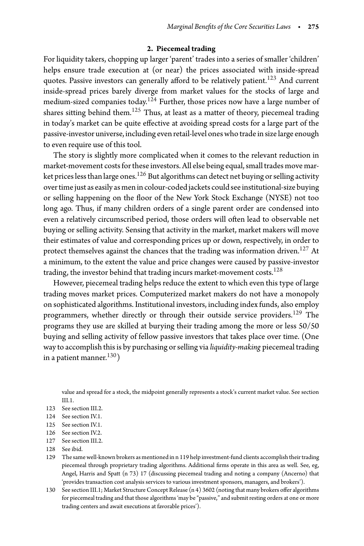## **2. Piecemeal trading**

For liquidity takers, chopping up larger 'parent' trades into a series of smaller 'children' helps ensure trade execution at (or near) the prices associated with inside-spread quotes. Passive investors can generally afford to be relatively patient.<sup>[123](#page-22-0)</sup> And current inside-spread prices barely diverge from market values for the stocks of large and medium-sized companies today.<sup>124</sup> Further, those prices now have a large number of shares sitting behind them.<sup>[125](#page-22-2)</sup> Thus, at least as a matter of theory, piecemeal trading in today's market can be quite effective at avoiding spread costs for a large part of the passive-investor universe, including even retail-level ones who trade in size large enough to even require use of this tool.

The story is slightly more complicated when it comes to the relevant reduction in market-movement costs for these investors. All else being equal, small trades move mar-ket prices less than large ones.<sup>[126](#page-22-3)</sup> But algorithms can detect net buying or selling activity overtime just as easily as men in colour-coded jackets could see institutional-size buying or selling happening on the floor of the New York Stock Exchange (NYSE) not too long ago. Thus, if many children orders of a single parent order are condensed into even a relatively circumscribed period, those orders will often lead to observable net buying or selling activity. Sensing that activity in the market, market makers will move their estimates of value and corresponding prices up or down, respectively, in order to protect themselves against the chances that the trading was information driven.<sup>127</sup> At a minimum, to the extent the value and price changes were caused by passive-investor trading, the investor behind that trading incurs market-movement costs. $^{128}$  $^{128}$  $^{128}$ 

However, piecemeal trading helps reduce the extent to which even this type of large trading moves market prices. Computerized market makers do not have a monopoly on sophisticated algorithms. Institutional investors, including index funds, also employ programmers, whether directly or through their outside service providers.<sup>[129](#page-22-6)</sup> The programs they use are skilled at burying their trading among the more or less 50/50 buying and selling activity of fellow passive investors that takes place over time. (One way to accomplish this is by purchasing or selling via *liquidity-making* piecemeal trading in a patient manner. $^{130}$ )

value and spread for a stock, the midpoint generally represents a stock's current market value. See section III.1.

- <span id="page-22-0"></span>124 See section IV.1.
- <span id="page-22-1"></span>125 See section IV.1.
- <span id="page-22-2"></span>126 See section IV.2.
- <span id="page-22-3"></span>127 See section III.2.
- <span id="page-22-4"></span>128 See ibid.
- <span id="page-22-6"></span><span id="page-22-5"></span>129 The same well-known brokers as mentioned in n 119 help investment-fund clients accomplish their trading piecemeal through proprietary trading algorithms. Additional firms operate in this area as well. See, eg, Angel, Harris and Spatt (n 73) 17 (discussing piecemeal trading and noting a company (Ancerno) that 'provides transaction cost analysis services to various investment sponsors, managers, and brokers').
- <span id="page-22-7"></span>130 See section III.1; Market Structure Concept Release (n 4) 3602 (noting that many brokers offer algorithms for piecemeal trading and that those algorithms 'may be "passive," and submit resting orders at one or more trading centers and await executions at favorable prices').

<sup>123</sup> See section III.2.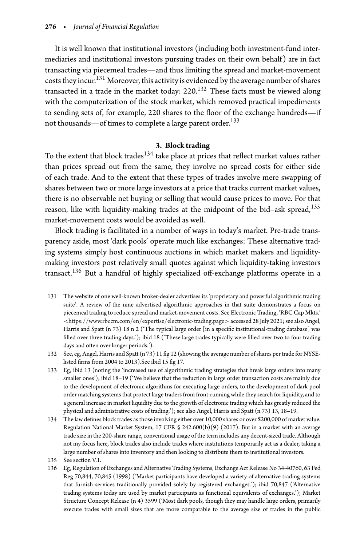It is well known that institutional investors (including both investment-fund intermediaries and institutional investors pursuing trades on their own behalf) are in fact transacting via piecemeal trades—and thus limiting the spread and market-movement costs they incur.<sup>[131](#page-23-0)</sup> Moreover, this activity is evidenced by the average number of shares transacted in a trade in the market today:  $220^{132}$  These facts must be viewed along with the computerization of the stock market, which removed practical impediments to sending sets of, for example, 220 shares to the floor of the exchange hundreds—if not thousands—of times to complete a large parent order.<sup>[133](#page-23-2)</sup>

### **3. Block trading**

To the extent that block trades<sup>[134](#page-23-3)</sup> take place at prices that reflect market values rather than prices spread out from the same, they involve no spread costs for either side of each trade. And to the extent that these types of trades involve mere swapping of shares between two or more large investors at a price that tracks current market values, there is no observable net buying or selling that would cause prices to move. For that reason, like with liquidity-making trades at the midpoint of the bid–ask spread,  $135$ market-movement costs would be avoided as well.

Block trading is facilitated in a number of ways in today's market. Pre-trade transparency aside, most 'dark pools' operate much like exchanges: These alternative trading systems simply host continuous auctions in which market makers and liquiditymaking investors post relatively small quotes against which liquidity-taking investors transact.[136](#page-23-5) But a handful of highly specialized off-exchange platforms operate in a

- <span id="page-23-0"></span>131 The website of one well-known broker-dealer advertises its 'proprietary and powerful algorithmic trading suite'. A review of the nine advertised algorithmic approaches in that suite demonstrates a focus on piecemeal trading to reduce spread and market-movement costs. See Electronic Trading, 'RBC Cap Mkts.' *<*<https://www.rbccm.com/en/expertise/electronic-trading.page>*>*accessed 28 July 2021; see also Angel, Harris and Spatt (n 73) 18 n 2 ('The typical large order [in a specific institutional-trading database] was filled over three trading days.'); ibid 18 ('These large trades typically were filled over two to four trading days and often over longer periods.').
- <span id="page-23-1"></span>132 See, eg, Angel, Harris and Spatt (n 73) 11 fig 12 (showing the average number of shares per trade for NYSElisted firms from 2004 to 2013).See ibid 15 fig 17.
- <span id="page-23-2"></span>133 Eg, ibid 13 (noting the 'increased use of algorithmic trading strategies that break large orders into many smaller ones'); ibid 18–19 ('We believe that the reduction in large order transaction costs are mainly due to the development of electronic algorithms for executing large orders, to the development of dark pool order matching systems that protect large traders from front-running while they search for liquidity, and to a general increase in market liquidity due to the growth of electronic trading which has greatly reduced the physical and administrative costs of trading.'); see also Angel, Harris and Spatt (n 73) 13, 18–19.
- <span id="page-23-3"></span>134 The law defines block trades as those involving either over 10,000 shares or over \$200,000 of market value. Regulation National Market System, 17 CFR § 242.600(b)(9) (2017). But in a market with an average trade size in the 200-share range, conventional usage of the term includes any decent-sized trade. Although not my focus here, block trades also include trades where institutions temporarily act as a dealer, taking a large number of shares into inventory and then looking to distribute them to institutional investors.

<span id="page-23-5"></span><span id="page-23-4"></span>136 Eg, Regulation of Exchanges and Alternative Trading Systems, Exchange Act Release No 34-40760, 63 Fed Reg 70,844, 70,845 (1998) ('Market participants have developed a variety of alternative trading systems that furnish services traditionally provided solely by registered exchanges.'); ibid 70,847 ('Alternative trading systems today are used by market participants as functional equivalents of exchanges.'); Market Structure Concept Release (n 4) 3599 ('Most dark pools, though they may handle large orders, primarily execute trades with small sizes that are more comparable to the average size of trades in the public

<sup>135</sup> See section V.1.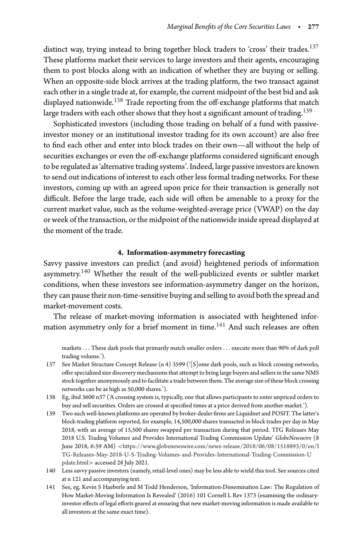distinct way, trying instead to bring together block traders to 'cross' their trades.<sup>[137](#page-24-0)</sup> These platforms market their services to large investors and their agents, encouraging them to post blocks along with an indication of whether they are buying or selling. When an opposite-side block arrives at the trading platform, the two transact against each other in a single trade at, for example, the current midpoint of the best bid and ask displayed nationwide.<sup>[138](#page-24-1)</sup> Trade reporting from the off-exchange platforms that match large traders with each other shows that they host a significant amount of trading.<sup>[139](#page-24-2)</sup>

Sophisticated investors (including those trading on behalf of a fund with passiveinvestor money or an institutional investor trading for its own account) are also free to find each other and enter into block trades on their own—all without the help of securities exchanges or even the off-exchange platforms considered significant enough to be regulated as 'alternative trading systems'. Indeed, large passive investors are known to send out indications of interest to each other less formal trading networks. For these investors, coming up with an agreed upon price for their transaction is generally not difficult. Before the large trade, each side will often be amenable to a proxy for the current market value, such as the volume-weighted-average price (VWAP) on the day or week of the transaction, or the midpoint of the nationwide inside spread displayed at the moment of the trade.

## **4. Information-asymmetry forecasting**

Savvy passive investors can predict (and avoid) heightened periods of information asymmetry.<sup>[140](#page-24-3)</sup> Whether the result of the well-publicized events or subtler market conditions, when these investors see information-asymmetry danger on the horizon, they can pause their non-time-sensitive buying and selling to avoid both the spread and market-movement costs.

The release of market-moving information is associated with heightened infor-mation asymmetry only for a brief moment in time.<sup>[141](#page-24-4)</sup> And such releases are often

markets*...* These dark pools that primarily match smaller orders*...* execute more than 90% of dark poll trading volume.').

- <span id="page-24-0"></span>137 See Market Structure Concept Release (n 4) 3599 ('[S]ome dark pools, such as block crossing networks, offer specialized size discovery mechanisms that attempt to bring large buyers and sellers in the same NMS stock together anonymously and to facilitate a trade between them. The average size of these block crossing networks can be as high as 50,000 shares.').
- <span id="page-24-1"></span>138 Eg, ibid 3600 n37 ('A crossing system is, typically, one that allows participants to enter unpriced orders to buy and sell securities. Orders are crossed at specified times at a price derived from another market.').
- <span id="page-24-2"></span>139 Two such well-known platforms are operated by broker-dealer firms are Liquidnet and POSIT. The latter's block-trading platform reported, for example, 14,500,000 shares transacted in block trades per day in May 2018, with an average of 15,500 shares swapped per transaction during that period. 'ITG Releases May 2018 U.S. Trading Volumes and Provides International Trading Commission Update' *GlobeNewswire* (8 June 2018, 6:59 AM) *<*[https://www.globenewswire.com/news-release/2018/06/08/1518893/0/en/I](https://www.globenewswire.com/news-release/2018/06/08/1518893/0/en/ITG-Releases-May-2018-U-S-Trading-Volumes-and-Provides-International-Trading-Commission-Update.html) [TG-Releases-May-2018-U-S-Trading-Volumes-and-Provides-International-Trading-Commission-U](https://www.globenewswire.com/news-release/2018/06/08/1518893/0/en/ITG-Releases-May-2018-U-S-Trading-Volumes-and-Provides-International-Trading-Commission-Update.html) [pdate.html](https://www.globenewswire.com/news-release/2018/06/08/1518893/0/en/ITG-Releases-May-2018-U-S-Trading-Volumes-and-Provides-International-Trading-Commission-Update.html)*>* accessed 28 July 2021.
- <span id="page-24-3"></span>140 Less savvy passive investors (namely, retail-level ones) may be less able to wield this tool. See sources cited at n 121 and accompanying text.
- <span id="page-24-4"></span>141 See, eg, Kevin S Haeberle and M Todd Henderson, 'Information-Dissemination Law: The Regulation of How Market-Moving Information Is Revealed' (2016) 101 Cornell L Rev 1373 (examining the ordinaryinvestor effects of legal efforts geared at ensuring that new market-moving information is made available to all investors at the same exact time).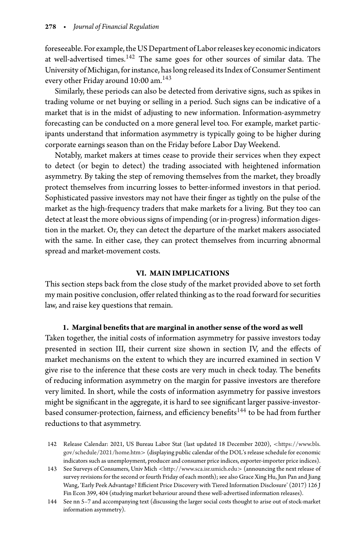foreseeable. For example, the US Department of Labor releases key economic indicators at well-advertised times.[142](#page-25-0) The same goes for other sources of similar data. The University of Michigan, for instance, has long released its Index of Consumer Sentiment every other Friday around 10:00 am.<sup>[143](#page-25-1)</sup>

Similarly, these periods can also be detected from derivative signs, such as spikes in trading volume or net buying or selling in a period. Such signs can be indicative of a market that is in the midst of adjusting to new information. Information-asymmetry forecasting can be conducted on a more general level too. For example, market participants understand that information asymmetry is typically going to be higher during corporate earnings season than on the Friday before Labor Day Weekend.

Notably, market makers at times cease to provide their services when they expect to detect (or begin to detect) the trading associated with heightened information asymmetry. By taking the step of removing themselves from the market, they broadly protect themselves from incurring losses to better-informed investors in that period. Sophisticated passive investors may not have their finger as tightly on the pulse of the market as the high-frequency traders that make markets for a living. But they too can detect at least the more obvious signs of impending (or in-progress) information digestion in the market. Or, they can detect the departure of the market makers associated with the same. In either case, they can protect themselves from incurring abnormal spread and market-movement costs.

### **VI. MAIN IMPLICATIONS**

This section steps back from the close study of the market provided above to set forth my main positive conclusion, offer related thinking as to the road forward for securities law, and raise key questions that remain.

### **1. Marginal benefits that are marginal in another sense of the word as well**

Taken together, the initial costs of information asymmetry for passive investors today presented in section III, their current size shown in section IV, and the effects of market mechanisms on the extent to which they are incurred examined in section V give rise to the inference that these costs are very much in check today. The benefits of reducing information asymmetry on the margin for passive investors are therefore very limited. In short, while the costs of information asymmetry for passive investors might be significant in the aggregate, it is hard to see significant larger passive-investor-based consumer-protection, fairness, and efficiency benefits<sup>[144](#page-25-2)</sup> to be had from further reductions to that asymmetry.

<span id="page-25-0"></span><sup>142</sup> Release Calendar: 2021, US Bureau Labor Stat (last updated 18 December 2020), *<*[https://www.bls.](https://www.bls.gov/schedule/2021/home.htm) [gov/schedule/2021/home.htm](https://www.bls.gov/schedule/2021/home.htm)*>* (displaying public calendar of the DOL's release schedule for economic indicators such as unemployment, producer and consumer price indices, exporter-importer price indices).

<span id="page-25-1"></span><sup>143</sup> See Surveys of Consumers, Univ Mich *<*<http://www.sca.isr.umich.edu>*>* (announcing the next release of survey revisions for the second or fourth Friday of each month); see also Grace Xing Hu, Jun Pan and Jiang Wang, 'Early Peek Advantage? Efficient Price Discovery with Tiered Information Disclosure' (2017) 126 J Fin Econ 399, 404 (studying market behaviour around these well-advertised information releases).

<span id="page-25-2"></span><sup>144</sup> See nn 5–7 and accompanying text (discussing the larger social costs thought to arise out of stock-market information asymmetry).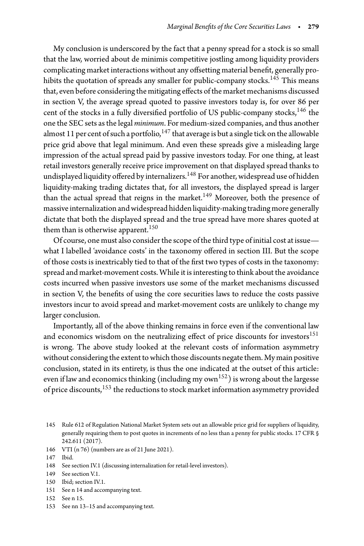My conclusion is underscored by the fact that a penny spread for a stock is so small that the law, worried about de minimis competitive jostling among liquidity providers complicating market interactions without any offsetting material benefit, generally pro-hibits the quotation of spreads any smaller for public-company stocks.<sup>[145](#page-26-0)</sup> This means that, even before considering the mitigating effects of the market mechanisms discussed in section V, the average spread quoted to passive investors today is, for over 86 per cent of the stocks in a fully diversified portfolio of US public-company stocks,  $146$  the one the SEC sets as the legal *minimum*. For medium-sized companies, and thus another almost 11 per cent of such a portfolio,  $147$  that average is but a single tick on the allowable price grid above that legal minimum. And even these spreads give a misleading large impression of the actual spread paid by passive investors today. For one thing, at least retail investors generally receive price improvement on that displayed spread thanks to undisplayed liquidity offered by internalizers.<sup>148</sup> For another, widespread use of hidden liquidity-making trading dictates that, for all investors, the displayed spread is larger than the actual spread that reigns in the market.<sup>149</sup> Moreover, both the presence of massive internalization and widespread hidden liquidity-making trading more generally dictate that both the displayed spread and the true spread have more shares quoted at them than is otherwise apparent.<sup>[150](#page-26-5)</sup>

Of course, one must also consider the scope of the third type of initial cost at issue what I labelled 'avoidance costs' in the taxonomy offered in section III. But the scope of those costs is inextricably tied to that of the first two types of costs in the taxonomy: spread and market-movement costs. While it is interesting to think about the avoidance costs incurred when passive investors use some of the market mechanisms discussed in section V, the benefits of using the core securities laws to reduce the costs passive investors incur to avoid spread and market-movement costs are unlikely to change my larger conclusion.

Importantly, all of the above thinking remains in force even if the conventional law and economics wisdom on the neutralizing effect of price discounts for investors $151$ is wrong. The above study looked at the relevant costs of information asymmetry without considering the extent to which those discounts negate them. My main positive conclusion, stated in its entirety, is thus the one indicated at the outset of this article: even if law and economics thinking (including my  $own<sup>152</sup>$ ) is wrong about the largesse of price discounts,<sup>[153](#page-26-8)</sup> the reductions to stock market information asymmetry provided

146 VTI (n 76) (numbers are as of 21 June 2021).

- <span id="page-26-2"></span>148 See section IV.1 (discussing internalization for retail-level investors).
- <span id="page-26-3"></span>149 See section V.1.
- <span id="page-26-4"></span>150 Ibid; section IV.1.
- <span id="page-26-5"></span>151 See n 14 and accompanying text.
- <span id="page-26-6"></span>152 See n 15.
- <span id="page-26-8"></span><span id="page-26-7"></span>153 See nn 13–15 and accompanying text.

<span id="page-26-0"></span><sup>145</sup> Rule 612 of Regulation National Market System sets out an allowable price grid for suppliers of liquidity, generally requiring them to post quotes in increments of no less than a penny for public stocks. 17 CFR § 242.611 (2017).

<span id="page-26-1"></span><sup>147</sup> Ibid.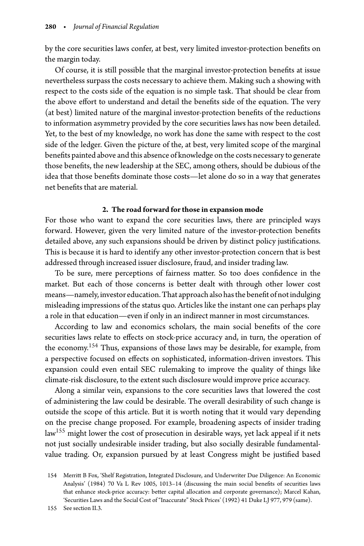by the core securities laws confer, at best, very limited investor-protection benefits on the margin today.

Of course, it is still possible that the marginal investor-protection benefits at issue nevertheless surpass the costs necessary to achieve them. Making such a showing with respect to the costs side of the equation is no simple task. That should be clear from the above effort to understand and detail the benefits side of the equation. The very (at best) limited nature of the marginal investor-protection benefits of the reductions to information asymmetry provided by the core securities laws has now been detailed. Yet, to the best of my knowledge, no work has done the same with respect to the cost side of the ledger. Given the picture of the, at best, very limited scope of the marginal benefits painted above and this absence of knowledge on the costs necessary to generate those benefits, the new leadership at the SEC, among others, should be dubious of the idea that those benefits dominate those costs—let alone do so in a way that generates net benefits that are material.

#### **2. The road forward for those in expansion mode**

For those who want to expand the core securities laws, there are principled ways forward. However, given the very limited nature of the investor-protection benefits detailed above, any such expansions should be driven by distinct policy justifications. This is because it is hard to identify any other investor-protection concern that is best addressed through increased issuer disclosure, fraud, and insider trading law.

To be sure, mere perceptions of fairness matter. So too does confidence in the market. But each of those concerns is better dealt with through other lower cost means—namely, investor education. That approach also hasthe benefit of not indulging misleading impressions of the status quo. Articles like the instant one can perhaps play a role in that education—even if only in an indirect manner in most circumstances.

According to law and economics scholars, the main social benefits of the core securities laws relate to effects on stock-price accuracy and, in turn, the operation of the economy[.154](#page-27-0) Thus, expansions of those laws may be desirable, for example, from a perspective focused on effects on sophisticated, information-driven investors. This expansion could even entail SEC rulemaking to improve the quality of things like climate-risk disclosure, to the extent such disclosure would improve price accuracy.

Along a similar vein, expansions to the core securities laws that lowered the cost of administering the law could be desirable. The overall desirability of such change is outside the scope of this article. But it is worth noting that it would vary depending on the precise change proposed. For example, broadening aspects of insider trading law<sup>155</sup> might lower the cost of prosecution in desirable ways, yet lack appeal if it nets not just socially undesirable insider trading, but also socially desirable fundamentalvalue trading. Or, expansion pursued by at least Congress might be justified based

<span id="page-27-1"></span>155 See section II.3.

<span id="page-27-0"></span><sup>154</sup> Merritt B Fox, 'Shelf Registration, Integrated Disclosure, and Underwriter Due Diligence: An Economic Analysis' (1984) 70 Va L Rev 1005, 1013–14 (discussing the main social benefits of securities laws that enhance stock-price accuracy: better capital allocation and corporate governance); Marcel Kahan, 'Securities Laws and the Social Cost of "Inaccurate" Stock Prices' (1992) 41 Duke LJ 977, 979 (same).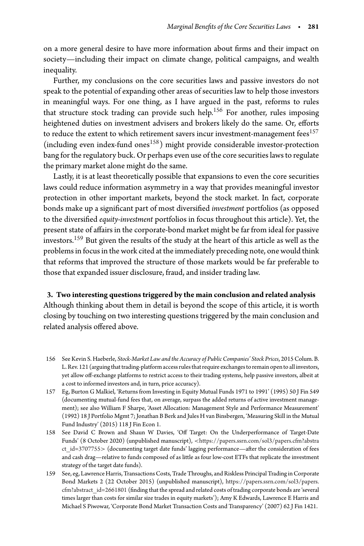on a more general desire to have more information about firms and their impact on society—including their impact on climate change, political campaigns, and wealth inequality.

Further, my conclusions on the core securities laws and passive investors do not speak to the potential of expanding other areas of securities law to help those investors in meaningful ways. For one thing, as I have argued in the past, reforms to rules that structure stock trading can provide such help.<sup>[156](#page-28-0)</sup> For another, rules imposing heightened duties on investment advisers and brokers likely do the same. Or, efforts to reduce the extent to which retirement savers incur investment-management fees $^{157}$ (including even index-fund ones<sup>158</sup>) might provide considerable investor-protection bang for the regulatory buck. Or perhaps even use of the core securities laws to regulate the primary market alone might do the same.

Lastly, it is at least theoretically possible that expansions to even the core securities laws could reduce information asymmetry in a way that provides meaningful investor protection in other important markets, beyond the stock market. In fact, corporate bonds make up a significant part of most diversified *investment* portfolios (as opposed to the diversified *equity-investment* portfolios in focus throughout this article). Yet, the present state of affairs in the corporate-bond market might be far from ideal for passive investors.<sup>159</sup> But given the results of the study at the heart of this article as well as the problems in focus in the work cited at the immediately preceding note, one would think that reforms that improved the structure of those markets would be far preferable to those that expanded issuer disclosure, fraud, and insider trading law.

**3. Two interesting questions triggered by the main conclusion and related analysis** Although thinking about them in detail is beyond the scope of this article, it is worth closing by touching on two interesting questions triggered by the main conclusion and related analysis offered above.

- <span id="page-28-0"></span>156 See Kevin S. Haeberle, *Stock-Market Law and the Accuracy of Public Companies' Stock Prices*, 2015 Colum. B. L. Rev. 121 (arguing that trading-platform access rules that require exchanges to remain open to all investors, yet allow off-exchange platforms to restrict access to their trading systems, help passive investors, albeit at a cost to informed investors and, in turn, price accuracy).
- <span id="page-28-1"></span>157 Eg, Burton G Malkiel, 'Returns from Investing in Equity Mutual Funds 1971 to 1991' (1995) 50 J Fin 549 (documenting mutual-fund fees that, on average, surpass the added returns of active investment management); see also William F Sharpe, 'Asset Allocation: Management Style and Performance Measurement' (1992) 18 J Portfolio Mgmt 7; Jonathan B Berk and Jules H van Binsbergen, 'Measuring Skill in the Mutual Fund Industry' (2015) 118 J Fin Econ 1.
- <span id="page-28-2"></span>158 See David C Brown and Shaun W Davies, 'Off Target: On the Underperformance of Target-Date Funds' (8 October 2020) (unpublished manuscript), *<*[https://papers.ssrn.com/sol3/papers.cfm?abstra](https://papers.ssrn.com/sol3/papers.cfm?abstract_id=3707755) [ct\\_id=3707755](https://papers.ssrn.com/sol3/papers.cfm?abstract_id=3707755)*>* (documenting target date funds' lagging performance—after the consideration of fees and cash drag—relative to funds composed of as little as four low-cost ETFs that replicate the investment strategy of the target date funds).
- <span id="page-28-3"></span>159 See, eg, Lawrence Harris, Transactions Costs, Trade Throughs, and Riskless Principal Trading in Corporate Bond Markets 2 (22 October 2015) (unpublished manuscript), [https://papers.ssrn.com/sol3/papers.](https://papers.ssrn.com/sol3/papers.cfm?abstract_id=2661801) [cfm?abstract\\_id=2661801](https://papers.ssrn.com/sol3/papers.cfm?abstract_id=2661801) (finding that the spread and related costs of trading corporate bonds are 'several times larger than costs for similar size trades in equity markets'); Amy K Edwards, Lawrence E Harris and Michael S Piwowar, 'Corporate Bond Market Transaction Costs and Transparency' (2007) 62 J Fin 1421.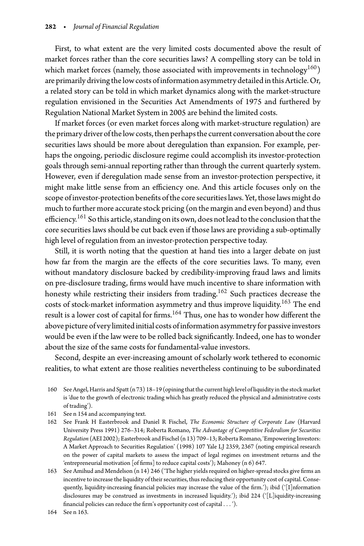First, to what extent are the very limited costs documented above the result of market forces rather than the core securities laws? A compelling story can be told in which market forces (namely, those associated with improvements in technology<sup>160</sup>) are primarily driving the low costs of information asymmetry detailed in this Article. Or, a related story can be told in which market dynamics along with the market-structure regulation envisioned in the Securities Act Amendments of 1975 and furthered by Regulation National Market System in 2005 are behind the limited costs.

If market forces (or even market forces along with market-structure regulation) are the primary driver of the low costs, then perhaps the current conversation about the core securities laws should be more about deregulation than expansion. For example, perhaps the ongoing, periodic disclosure regime could accomplish its investor-protection goals through semi-annual reporting rather than through the current quarterly system. However, even if deregulation made sense from an investor-protection perspective, it might make little sense from an efficiency one. And this article focuses only on the scope of investor-protection benefits of the core securities laws. Yet, those laws might do much to further more accurate stock pricing (on the margin and even beyond) and thus efficiency.<sup>[161](#page-29-1)</sup> So this article, standing on its own, does not lead to the conclusion that the core securities laws should be cut back even if those laws are providing a sub-optimally high level of regulation from an investor-protection perspective today.

Still, it is worth noting that the question at hand ties into a larger debate on just how far from the margin are the effects of the core securities laws. To many, even without mandatory disclosure backed by credibility-improving fraud laws and limits on pre-disclosure trading, firms would have much incentive to share information with honesty while restricting their insiders from trading.<sup>162</sup> Such practices decrease the costs of stock-market information asymmetry and thus improve liquidity.<sup>[163](#page-29-3)</sup> The end result is a lower cost of capital for firms.<sup>[164](#page-29-4)</sup> Thus, one has to wonder how different the above picture of very limited initial costs of information asymmetry for passive investors would be even if the law were to be rolled back significantly. Indeed, one has to wonder about the size of the same costs for fundamental-value investors.

Second, despite an ever-increasing amount of scholarly work tethered to economic realities, to what extent are those realities nevertheless continuing to be subordinated

- <span id="page-29-0"></span>160 See Angel, Harris and Spatt (n 73) 18–19 (opiningthatthe current high level of liquidity inthe stock market is 'due to the growth of electronic trading which has greatly reduced the physical and administrative costs of trading').
- 161 See n 154 and accompanying text.
- <span id="page-29-2"></span><span id="page-29-1"></span>162 See Frank H Easterbrook and Daniel R Fischel, *The Economic Structure of Corporate Law* (Harvard University Press 1991) 276–314; Roberta Romano, *The Advantage of Competitive Federalism for Securities Regulation* (AEI 2002); Easterbrook and Fischel (n 13) 709–13; Roberta Romano, 'Empowering Investors: A Market Approach to Securities Regulation' (1998) 107 Yale LJ 2359, 2367 (noting empirical research on the power of capital markets to assess the impact of legal regimes on investment returns and the 'entrepreneurial motivation [of firms] to reduce capital costs'); Mahoney (n 6) 647.
- <span id="page-29-3"></span>163 See Amihud and Mendelson (n 14) 246 ('The higher yields required on higher-spread stocks give firms an incentive to increase the liquidity of their securities, thus reducing their opportunity cost of capital. Consequently, liquidity-increasing financial policies may increase the value of the firm.'); ibid ('[I]nformation disclosures may be construed as investments in increased liquidity.'); ibid 224 ('[L]iquidity-increasing financial policies can reduce the firm's opportunity cost of capital *...* ').

<span id="page-29-4"></span>164 See n 163.